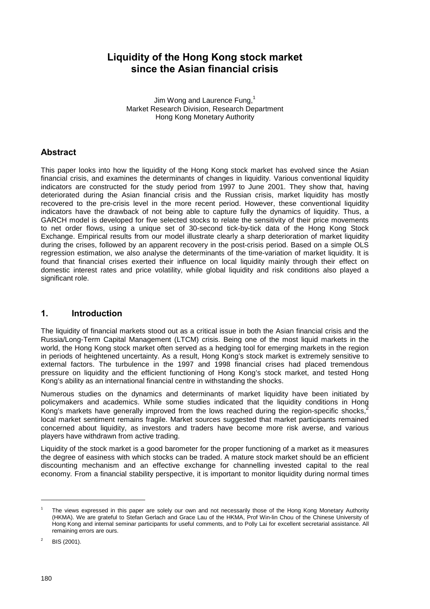# **Liquidity of the Hong Kong stock market since the Asian financial crisis**

Jim Wong and Laurence Fung,<sup>1</sup> Market Research Division, Research Department Hong Kong Monetary Authority

## **Abstract**

This paper looks into how the liquidity of the Hong Kong stock market has evolved since the Asian financial crisis, and examines the determinants of changes in liquidity. Various conventional liquidity indicators are constructed for the study period from 1997 to June 2001. They show that, having deteriorated during the Asian financial crisis and the Russian crisis, market liquidity has mostly recovered to the pre-crisis level in the more recent period. However, these conventional liquidity indicators have the drawback of not being able to capture fully the dynamics of liquidity. Thus, a GARCH model is developed for five selected stocks to relate the sensitivity of their price movements to net order flows, using a unique set of 30-second tick-by-tick data of the Hong Kong Stock Exchange. Empirical results from our model illustrate clearly a sharp deterioration of market liquidity during the crises, followed by an apparent recovery in the post-crisis period. Based on a simple OLS regression estimation, we also analyse the determinants of the time-variation of market liquidity. It is found that financial crises exerted their influence on local liquidity mainly through their effect on domestic interest rates and price volatility, while global liquidity and risk conditions also played a significant role.

## **1. Introduction**

The liquidity of financial markets stood out as a critical issue in both the Asian financial crisis and the Russia/Long-Term Capital Management (LTCM) crisis. Being one of the most liquid markets in the world, the Hong Kong stock market often served as a hedging tool for emerging markets in the region in periods of heightened uncertainty. As a result, Hong Kong's stock market is extremely sensitive to external factors. The turbulence in the 1997 and 1998 financial crises had placed tremendous pressure on liquidity and the efficient functioning of Hong Kong's stock market, and tested Hong Kong's ability as an international financial centre in withstanding the shocks.

Numerous studies on the dynamics and determinants of market liquidity have been initiated by policymakers and academics. While some studies indicated that the liquidity conditions in Hong Kong's markets have generally improved from the lows reached during the region-specific shocks,<sup>2</sup> local market sentiment remains fragile. Market sources suggested that market participants remained concerned about liquidity, as investors and traders have become more risk averse, and various players have withdrawn from active trading.

Liquidity of the stock market is a good barometer for the proper functioning of a market as it measures the degree of easiness with which stocks can be traded. A mature stock market should be an efficient discounting mechanism and an effective exchange for channelling invested capital to the real economy. From a financial stability perspective, it is important to monitor liquidity during normal times

<sup>1</sup> The views expressed in this paper are solely our own and not necessarily those of the Hong Kong Monetary Authority (HKMA). We are grateful to Stefan Gerlach and Grace Lau of the HKMA, Prof Win-lin Chou of the Chinese University of Hong Kong and internal seminar participants for useful comments, and to Polly Lai for excellent secretarial assistance. All remaining errors are ours.

<sup>2</sup> BIS (2001).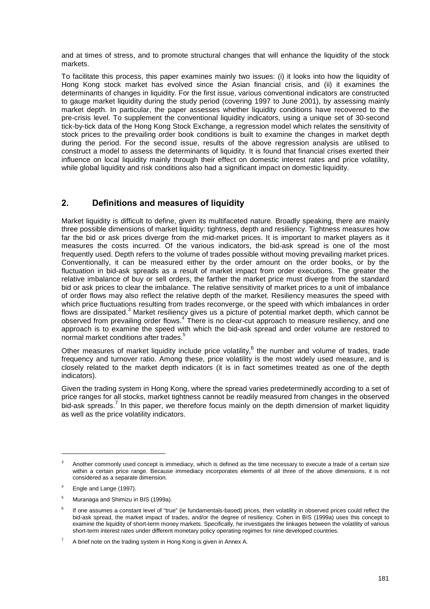and at times of stress, and to promote structural changes that will enhance the liquidity of the stock markets.

To facilitate this process, this paper examines mainly two issues: (i) it looks into how the liquidity of Hong Kong stock market has evolved since the Asian financial crisis, and (ii) it examines the determinants of changes in liquidity. For the first issue, various conventional indicators are constructed to gauge market liquidity during the study period (covering 1997 to June 2001), by assessing mainly market depth. In particular, the paper assesses whether liquidity conditions have recovered to the pre-crisis level. To supplement the conventional liquidity indicators, using a unique set of 30-second tick-by-tick data of the Hong Kong Stock Exchange, a regression model which relates the sensitivity of stock prices to the prevailing order book conditions is built to examine the changes in market depth during the period. For the second issue, results of the above regression analysis are utilised to construct a model to assess the determinants of liquidity. It is found that financial crises exerted their influence on local liquidity mainly through their effect on domestic interest rates and price volatility, while global liquidity and risk conditions also had a significant impact on domestic liquidity.

# **2. Definitions and measures of liquidity**

Market liquidity is difficult to define, given its multifaceted nature. Broadly speaking, there are mainly three possible dimensions of market liquidity: tightness, depth and resiliency. Tightness measures how far the bid or ask prices diverge from the mid-market prices. It is important to market players as it measures the costs incurred. Of the various indicators, the bid-ask spread is one of the most frequently used. Depth refers to the volume of trades possible without moving prevailing market prices. Conventionally, it can be measured either by the order amount on the order books, or by the fluctuation in bid-ask spreads as a result of market impact from order executions. The greater the relative imbalance of buy or sell orders, the farther the market price must diverge from the standard bid or ask prices to clear the imbalance. The relative sensitivity of market prices to a unit of imbalance of order flows may also reflect the relative depth of the market. Resiliency measures the speed with which price fluctuations resulting from trades reconverge, or the speed with which imbalances in order flows are dissipated.<sup>3</sup> Market resiliency gives us a picture of potential market depth, which cannot be observed from prevailing order flows.<sup>4</sup> There is no clear-cut approach to measure resiliency, and one approach is to examine the speed with which the bid-ask spread and order volume are restored to normal market conditions after trades.<sup>5</sup>

Other measures of market liquidity include price volatility,  $6$  the number and volume of trades, trade frequency and turnover ratio. Among these, price volatility is the most widely used measure, and is closely related to the market depth indicators (it is in fact sometimes treated as one of the depth indicators).

Given the trading system in Hong Kong, where the spread varies predeterminedly according to a set of price ranges for all stocks, market tightness cannot be readily measured from changes in the observed bid-ask spreads.<sup>7</sup> In this paper, we therefore focus mainly on the depth dimension of market liquidity as well as the price volatility indicators.

<sup>3</sup> Another commonly used concept is immediacy, which is defined as the time necessary to execute a trade of a certain size within a certain price range. Because immediacy incorporates elements of all three of the above dimensions, it is not considered as a separate dimension.

<sup>4</sup> Engle and Lange (1997).

<sup>5</sup> Muranaga and Shimizu in BIS (1999a).

<sup>6</sup> If one assumes a constant level of "true" (ie fundamentals-based) prices, then volatility in observed prices could reflect the bid-ask spread, the market impact of trades, and/or the degree of resiliency. Cohen in BIS (1999a) uses this concept to examine the liquidity of short-term money markets. Specifically, he investigates the linkages between the volatility of various short-term interest rates under different monetary policy operating regimes for nine developed countries.

<sup>7</sup> A brief note on the trading system in Hong Kong is given in Annex A.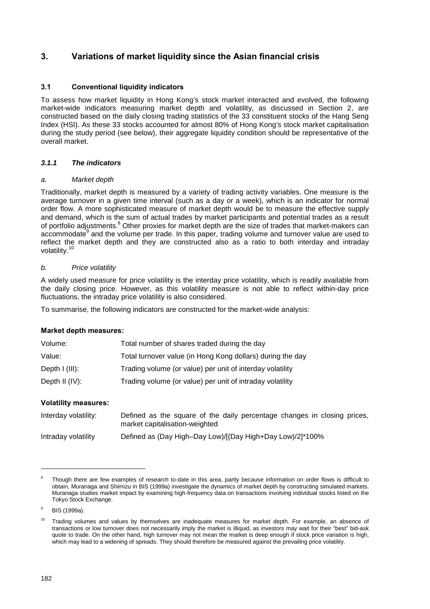# **3. Variations of market liquidity since the Asian financial crisis**

### **3.1 Conventional liquidity indicators**

To assess how market liquidity in Hong Kong's stock market interacted and evolved, the following market-wide indicators measuring market depth and volatility, as discussed in Section 2, are constructed based on the daily closing trading statistics of the 33 constituent stocks of the Hang Seng Index (HSI). As these 33 stocks accounted for almost 80% of Hong Kong's stock market capitalisation during the study period (see below), their aggregate liquidity condition should be representative of the overall market.

#### *3.1.1 The indicators*

#### *a. Market depth*

Traditionally, market depth is measured by a variety of trading activity variables. One measure is the average turnover in a given time interval (such as a day or a week), which is an indicator for normal order flow. A more sophisticated measure of market depth would be to measure the effective supply and demand, which is the sum of actual trades by market participants and potential trades as a result of portfolio adjustments.<sup>8</sup> Other proxies for market depth are the size of trades that market-makers can accommodate<sup>9</sup> and the volume per trade. In this paper, trading volume and turnover value are used to reflect the market depth and they are constructed also as a ratio to both interday and intraday volatility.<sup>10</sup>

#### *b. Price volatility*

A widely used measure for price volatility is the interday price volatility, which is readily available from the daily closing price. However, as this volatility measure is not able to reflect within-day price fluctuations, the intraday price volatility is also considered.

To summarise, the following indicators are constructed for the market-wide analysis:

#### **Market depth measures:**

| Volume:           | Total number of shares traded during the day               |
|-------------------|------------------------------------------------------------|
| Value:            | Total turnover value (in Hong Kong dollars) during the day |
| Depth $I$ (III):  | Trading volume (or value) per unit of interday volatility  |
| Depth II $(IV)$ : | Trading volume (or value) per unit of intraday volatility  |

#### **Volatility measures:**

| Interday volatility: | Defined as the square of the daily percentage changes in closing prices,<br>market capitalisation-weighted |
|----------------------|------------------------------------------------------------------------------------------------------------|
| Intraday volatility  | Defined as (Day High-Day Low)/[(Day High+Day Low)/2]*100%                                                  |

<sup>8</sup> Though there are few examples of research to-date in this area, partly because information on order flows is difficult to obtain, Muranaga and Shimizu in BIS (1999a) investigate the dynamics of market depth by constructing simulated markets. Muranaga studies market impact by examining high-frequency data on transactions involving individual stocks listed on the Tokyo Stock Exchange.

<sup>9</sup> BIS (1999a).

<sup>&</sup>lt;sup>10</sup> Trading volumes and values by themselves are inadequate measures for market depth. For example, an absence of transactions or low turnover does not necessarily imply the market is illiquid, as investors may wait for their "best" bid-ask quote to trade. On the other hand, high turnover may not mean the market is deep enough if stock price variation is high, which may lead to a widening of spreads. They should therefore be measured against the prevailing price volatility.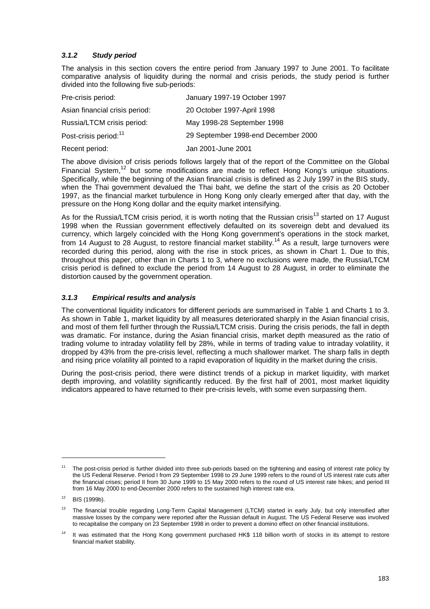### *3.1.2 Study period*

The analysis in this section covers the entire period from January 1997 to June 2001. To facilitate comparative analysis of liquidity during the normal and crisis periods, the study period is further divided into the following five sub-periods:

| Pre-crisis period:                | January 1997-19 October 1997        |
|-----------------------------------|-------------------------------------|
| Asian financial crisis period:    | 20 October 1997-April 1998          |
| Russia/LTCM crisis period:        | May 1998-28 September 1998          |
| Post-crisis period: <sup>11</sup> | 29 September 1998-end December 2000 |
| Recent period:                    | Jan 2001-June 2001                  |

The above division of crisis periods follows largely that of the report of the Committee on the Global Financial System,<sup>12</sup> but some modifications are made to reflect Hong Kong's unique situations. Specifically, while the beginning of the Asian financial crisis is defined as 2 July 1997 in the BIS study, when the Thai government devalued the Thai baht, we define the start of the crisis as 20 October 1997, as the financial market turbulence in Hong Kong only clearly emerged after that day, with the pressure on the Hong Kong dollar and the equity market intensifying.

As for the Russia/LTCM crisis period, it is worth noting that the Russian crisis<sup>13</sup> started on 17 August 1998 when the Russian government effectively defaulted on its sovereign debt and devalued its currency, which largely coincided with the Hong Kong government's operations in the stock market, from 14 August to 28 August, to restore financial market stability.<sup>14</sup> As a result, large turnovers were recorded during this period, along with the rise in stock prices, as shown in Chart 1. Due to this, throughout this paper, other than in Charts 1 to 3, where no exclusions were made, the Russia/LTCM crisis period is defined to exclude the period from 14 August to 28 August, in order to eliminate the distortion caused by the government operation.

#### *3.1.3 Empirical results and analysis*

The conventional liquidity indicators for different periods are summarised in Table 1 and Charts 1 to 3. As shown in Table 1, market liquidity by all measures deteriorated sharply in the Asian financial crisis, and most of them fell further through the Russia/LTCM crisis. During the crisis periods, the fall in depth was dramatic. For instance, during the Asian financial crisis, market depth measured as the ratio of trading volume to intraday volatility fell by 28%, while in terms of trading value to intraday volatility, it dropped by 43% from the pre-crisis level, reflecting a much shallower market. The sharp falls in depth and rising price volatility all pointed to a rapid evaporation of liquidity in the market during the crisis.

During the post-crisis period, there were distinct trends of a pickup in market liquidity, with market depth improving, and volatility significantly reduced. By the first half of 2001, most market liquidity indicators appeared to have returned to their pre-crisis levels, with some even surpassing them.

The post-crisis period is further divided into three sub-periods based on the tightening and easing of interest rate policy by the US Federal Reserve. Period I from 29 September 1998 to 29 June 1999 refers to the round of US interest rate cuts after the financial crises; period II from 30 June 1999 to 15 May 2000 refers to the round of US interest rate hikes; and period III from 16 May 2000 to end-December 2000 refers to the sustained high interest rate era.

 $12$  BIS (1999b).

<sup>&</sup>lt;sup>13</sup> The financial trouble regarding Long-Term Capital Management (LTCM) started in early July, but only intensified after massive losses by the company were reported after the Russian default in August. The US Federal Reserve was involved to recapitalise the company on 23 September 1998 in order to prevent a domino effect on other financial institutions.

<sup>&</sup>lt;sup>14</sup> It was estimated that the Hong Kong government purchased HK\$ 118 billion worth of stocks in its attempt to restore financial market stability.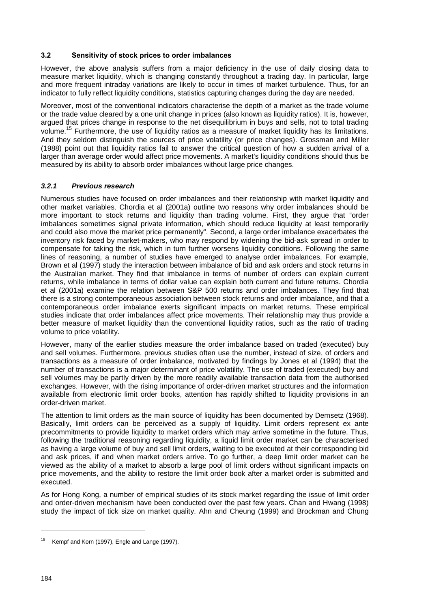#### **3.2 Sensitivity of stock prices to order imbalances**

However, the above analysis suffers from a major deficiency in the use of daily closing data to measure market liquidity, which is changing constantly throughout a trading day. In particular, large and more frequent intraday variations are likely to occur in times of market turbulence. Thus, for an indicator to fully reflect liquidity conditions, statistics capturing changes during the day are needed.

Moreover, most of the conventional indicators characterise the depth of a market as the trade volume or the trade value cleared by a one unit change in prices (also known as liquidity ratios). It is, however, argued that prices change in response to the net disequilibrium in buys and sells, not to total trading volume.15 Furthermore, the use of liquidity ratios as a measure of market liquidity has its limitations. And they seldom distinguish the sources of price volatility (or price changes). Grossman and Miller (1988) point out that liquidity ratios fail to answer the critical question of how a sudden arrival of a larger than average order would affect price movements. A market's liquidity conditions should thus be measured by its ability to absorb order imbalances without large price changes.

#### *3.2.1 Previous research*

Numerous studies have focused on order imbalances and their relationship with market liquidity and other market variables. Chordia et al (2001a) outline two reasons why order imbalances should be more important to stock returns and liquidity than trading volume. First, they argue that "order imbalances sometimes signal private information, which should reduce liquidity at least temporarily and could also move the market price permanently". Second, a large order imbalance exacerbates the inventory risk faced by market-makers, who may respond by widening the bid-ask spread in order to compensate for taking the risk, which in turn further worsens liquidity conditions. Following the same lines of reasoning, a number of studies have emerged to analyse order imbalances. For example, Brown et al (1997) study the interaction between imbalance of bid and ask orders and stock returns in the Australian market. They find that imbalance in terms of number of orders can explain current returns, while imbalance in terms of dollar value can explain both current and future returns. Chordia et al (2001a) examine the relation between S&P 500 returns and order imbalances. They find that there is a strong contemporaneous association between stock returns and order imbalance, and that a contemporaneous order imbalance exerts significant impacts on market returns. These empirical studies indicate that order imbalances affect price movements. Their relationship may thus provide a better measure of market liquidity than the conventional liquidity ratios, such as the ratio of trading volume to price volatility.

However, many of the earlier studies measure the order imbalance based on traded (executed) buy and sell volumes. Furthermore, previous studies often use the number, instead of size, of orders and transactions as a measure of order imbalance, motivated by findings by Jones et al (1994) that the number of transactions is a major determinant of price volatility. The use of traded (executed) buy and sell volumes may be partly driven by the more readily available transaction data from the authorised exchanges. However, with the rising importance of order-driven market structures and the information available from electronic limit order books, attention has rapidly shifted to liquidity provisions in an order-driven market.

The attention to limit orders as the main source of liquidity has been documented by Demsetz (1968). Basically, limit orders can be perceived as a supply of liquidity. Limit orders represent ex ante precommitments to provide liquidity to market orders which may arrive sometime in the future. Thus, following the traditional reasoning regarding liquidity, a liquid limit order market can be characterised as having a large volume of buy and sell limit orders, waiting to be executed at their corresponding bid and ask prices, if and when market orders arrive. To go further, a deep limit order market can be viewed as the ability of a market to absorb a large pool of limit orders without significant impacts on price movements, and the ability to restore the limit order book after a market order is submitted and executed.

As for Hong Kong, a number of empirical studies of its stock market regarding the issue of limit order and order-driven mechanism have been conducted over the past few years. Chan and Hwang (1998) study the impact of tick size on market quality. Ahn and Cheung (1999) and Brockman and Chung

<sup>&</sup>lt;sup>15</sup> Kempf and Korn (1997), Engle and Lange (1997).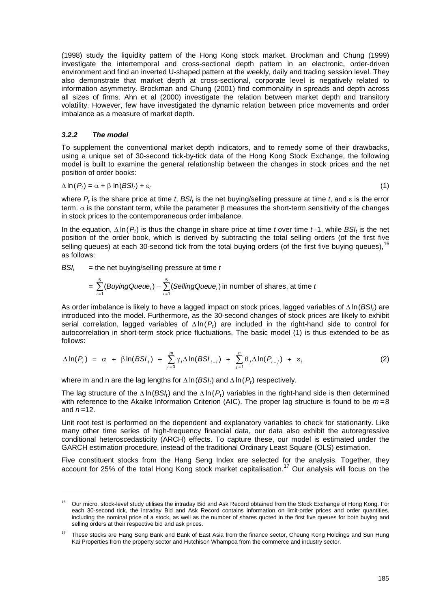(1998) study the liquidity pattern of the Hong Kong stock market. Brockman and Chung (1999) investigate the intertemporal and cross-sectional depth pattern in an electronic, order-driven environment and find an inverted U-shaped pattern at the weekly, daily and trading session level. They also demonstrate that market depth at cross-sectional, corporate level is negatively related to information asymmetry. Brockman and Chung (2001) find commonality in spreads and depth across all sizes of firms. Ahn et al (2000) investigate the relation between market depth and transitory volatility. However, few have investigated the dynamic relation between price movements and order imbalance as a measure of market depth.

#### *3.2.2 The model*

l

To supplement the conventional market depth indicators, and to remedy some of their drawbacks, using a unique set of 30-second tick-by-tick data of the Hong Kong Stock Exchange, the following model is built to examine the general relationship between the changes in stock prices and the net position of order books:

$$
\Delta \ln(P_t) = \alpha + \beta \ln(BSI_t) + \varepsilon_t \tag{1}
$$

where  $P_t$  is the share price at time *t*,  $BS_t$  is the net buying/selling pressure at time *t*, and  $\varepsilon$  is the error term.  $\alpha$  is the constant term, while the parameter  $\beta$  measures the short-term sensitivity of the changes in stock prices to the contemporaneous order imbalance.

In the equation,  $\Delta \ln(P_t)$  is thus the change in share price at time *t* over time  $t-1$ , while *BSI*, is the net position of the order book, which is derived by subtracting the total selling orders (of the first five selling queues) at each 30-second tick from the total buying orders (of the first five buying queues).<sup>16</sup> as follows:

 $BSI_t =$  the net buying/selling pressure at time *t* 

$$
= \sum_{i=1}^{5} (BuyingQueue_i) - \sum_{i=1}^{5} (SellingQueue_i) \text{ in number of shares, at time } t
$$

As order imbalance is likely to have a lagged impact on stock prices, lagged variables of  $\Delta$ ln( $BSI_t$ ) are introduced into the model. Furthermore, as the 30-second changes of stock prices are likely to exhibit serial correlation, lagged variables of  $\Delta \ln(P_t)$  are included in the right-hand side to control for autocorrelation in short-term stock price fluctuations. The basic model (1) is thus extended to be as follows:

$$
\Delta \ln(P_t) = \alpha + \beta \ln(BSI_t) + \sum_{i=0}^{m} \gamma_i \Delta \ln(BSI_{t-i}) + \sum_{j=1}^{n} \theta_j \Delta \ln(P_{t-j}) + \epsilon_t
$$
 (2)

where m and n are the lag lengths for  $\Delta$  ln(*BSI<sub>t</sub>*) and  $\Delta$  ln(*P<sub>t</sub>*) respectively.

The lag structure of the  $\Delta$  ln(*BSI<sub>t</sub>*) and the  $\Delta$  ln(*P<sub>t</sub>*) variables in the right-hand side is then determined with reference to the Akaike Information Criterion (AIC). The proper lag structure is found to be *m* =8 and  $n=12$ .

Unit root test is performed on the dependent and explanatory variables to check for stationarity. Like many other time series of high-frequency financial data, our data also exhibit the autoregressive conditional heteroscedasticity (ARCH) effects. To capture these, our model is estimated under the GARCH estimation procedure, instead of the traditional Ordinary Least Square (OLS) estimation.

Five constituent stocks from the Hang Seng Index are selected for the analysis. Together, they account for 25% of the total Hong Kong stock market capitalisation.<sup>17</sup> Our analysis will focus on the

<sup>16</sup> Our micro, stock-level study utilises the intraday Bid and Ask Record obtained from the Stock Exchange of Hong Kong. For each 30-second tick, the intraday Bid and Ask Record contains information on limit-order prices and order quantities, including the nominal price of a stock, as well as the number of shares quoted in the first five queues for both buying and selling orders at their respective bid and ask prices.

<sup>17</sup> These stocks are Hang Seng Bank and Bank of East Asia from the finance sector, Cheung Kong Holdings and Sun Hung Kai Properties from the property sector and Hutchison Whampoa from the commerce and industry sector.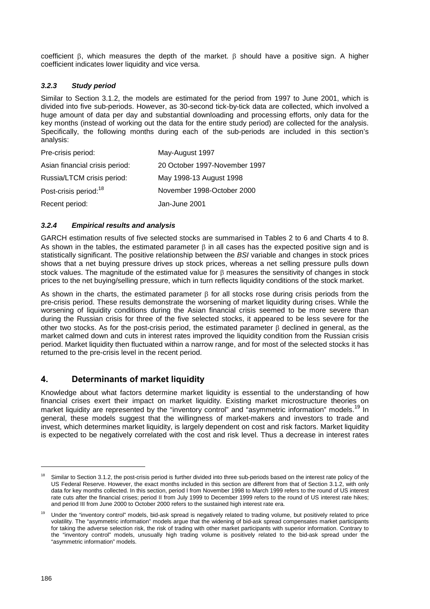coefficient  $\beta$ , which measures the depth of the market.  $\beta$  should have a positive sign. A higher coefficient indicates lower liquidity and vice versa.

#### *3.2.3 Study period*

Similar to Section 3.1.2, the models are estimated for the period from 1997 to June 2001, which is divided into five sub-periods. However, as 30-second tick-by-tick data are collected, which involved a huge amount of data per day and substantial downloading and processing efforts, only data for the key months (instead of working out the data for the entire study period) are collected for the analysis. Specifically, the following months during each of the sub-periods are included in this section's analysis:

| Pre-crisis period:                | May-August 1997               |
|-----------------------------------|-------------------------------|
| Asian financial crisis period:    | 20 October 1997-November 1997 |
| Russia/LTCM crisis period:        | May 1998-13 August 1998       |
| Post-crisis period: <sup>18</sup> | November 1998-October 2000    |
| Recent period:                    | Jan-June 2001                 |

#### *3.2.4 Empirical results and analysis*

GARCH estimation results of five selected stocks are summarised in Tables 2 to 6 and Charts 4 to 8. As shown in the tables, the estimated parameter  $\beta$  in all cases has the expected positive sign and is statistically significant. The positive relationship between the *BSI* variable and changes in stock prices shows that a net buying pressure drives up stock prices, whereas a net selling pressure pulls down stock values. The magnitude of the estimated value for  $\beta$  measures the sensitivity of changes in stock prices to the net buying/selling pressure, which in turn reflects liquidity conditions of the stock market.

As shown in the charts, the estimated parameter  $\beta$  for all stocks rose during crisis periods from the pre-crisis period. These results demonstrate the worsening of market liquidity during crises. While the worsening of liquidity conditions during the Asian financial crisis seemed to be more severe than during the Russian crisis for three of the five selected stocks, it appeared to be less severe for the other two stocks. As for the post-crisis period, the estimated parameter  $\beta$  declined in general, as the market calmed down and cuts in interest rates improved the liquidity condition from the Russian crisis period. Market liquidity then fluctuated within a narrow range, and for most of the selected stocks it has returned to the pre-crisis level in the recent period.

## **4. Determinants of market liquidity**

Knowledge about what factors determine market liquidity is essential to the understanding of how financial crises exert their impact on market liquidity. Existing market microstructure theories on market liquidity are represented by the "inventory control" and "asymmetric information" models.<sup>19</sup> In general, these models suggest that the willingness of market-makers and investors to trade and invest, which determines market liquidity, is largely dependent on cost and risk factors. Market liquidity is expected to be negatively correlated with the cost and risk level. Thus a decrease in interest rates

Similar to Section 3.1.2, the post-crisis period is further divided into three sub-periods based on the interest rate policy of the US Federal Reserve. However, the exact months included in this section are different from that of Section 3.1.2, with only data for key months collected. In this section, period I from November 1998 to March 1999 refers to the round of US interest rate cuts after the financial crises; period II from July 1999 to December 1999 refers to the round of US interest rate hikes; and period III from June 2000 to October 2000 refers to the sustained high interest rate era.

<sup>19</sup> Under the "inventory control" models, bid-ask spread is negatively related to trading volume, but positively related to price volatility. The "asymmetric information" models argue that the widening of bid-ask spread compensates market participants for taking the adverse selection risk, the risk of trading with other market participants with superior information. Contrary to the "inventory control" models, unusually high trading volume is positively related to the bid-ask spread under the "asymmetric information" models.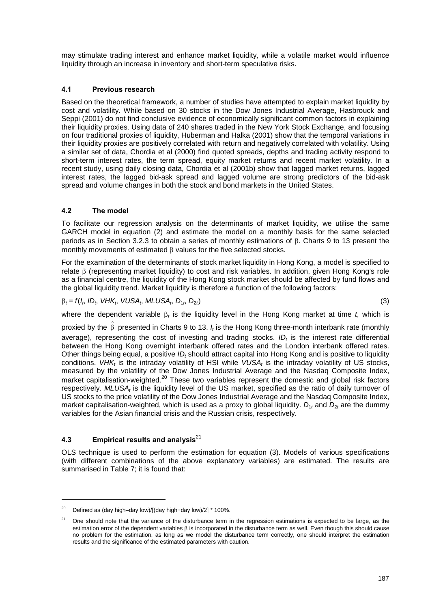may stimulate trading interest and enhance market liquidity, while a volatile market would influence liquidity through an increase in inventory and short-term speculative risks.

#### **4.1 Previous research**

Based on the theoretical framework, a number of studies have attempted to explain market liquidity by cost and volatility. While based on 30 stocks in the Dow Jones Industrial Average, Hasbrouck and Seppi (2001) do not find conclusive evidence of economically significant common factors in explaining their liquidity proxies. Using data of 240 shares traded in the New York Stock Exchange, and focusing on four traditional proxies of liquidity, Huberman and Halka (2001) show that the temporal variations in their liquidity proxies are positively correlated with return and negatively correlated with volatility. Using a similar set of data, Chordia et al (2000) find quoted spreads, depths and trading activity respond to short-term interest rates, the term spread, equity market returns and recent market volatility. In a recent study, using daily closing data, Chordia et al (2001b) show that lagged market returns, lagged interest rates, the lagged bid-ask spread and lagged volume are strong predictors of the bid-ask spread and volume changes in both the stock and bond markets in the United States.

#### **4.2 The model**

To facilitate our regression analysis on the determinants of market liquidity, we utilise the same GARCH model in equation (2) and estimate the model on a monthly basis for the same selected periods as in Section 3.2.3 to obtain a series of monthly estimations of  $\beta$ . Charts 9 to 13 present the monthly movements of estimated  $\beta$  values for the five selected stocks.

For the examination of the determinants of stock market liquidity in Hong Kong, a model is specified to relate  $\beta$  (representing market liquidity) to cost and risk variables. In addition, given Hong Kong's role as a financial centre, the liquidity of the Hong Kong stock market should be affected by fund flows and the global liquidity trend. Market liquidity is therefore a function of the following factors:

 $\beta_t = f(l_t, ID_t, VHK_t, VUSA_t, MLUSA_t, D_{1t}, D_{2t})$  (3)

where the dependent variable  $\beta_t$  is the liquidity level in the Hong Kong market at time *t*, which is

proxied by the  $\hat{\stackrel{\circ}{\text{p}}}$  presented in Charts 9 to 13.  $I_t$  is the Hong Kong three-month interbank rate (monthly average), representing the cost of investing and trading stocks. *ID*, is the interest rate differential between the Hong Kong overnight interbank offered rates and the London interbank offered rates. Other things being equal, a positive *ID<sub>t</sub>* should attract capital into Hong Kong and is positive to liquidity conditions. *VHK<sub>t</sub>* is the intraday volatility of HSI while *VUSA<sub>t</sub>* is the intraday volatility of US stocks, measured by the volatility of the Dow Jones Industrial Average and the Nasdaq Composite Index, market capitalisation-weighted.<sup>20</sup> These two variables represent the domestic and global risk factors respectively. *MLUSA<sub>t</sub>* is the liquidity level of the US market, specified as the ratio of daily turnover of US stocks to the price volatility of the Dow Jones Industrial Average and the Nasdaq Composite Index, market capitalisation-weighted, which is used as a proxy to global liquidity.  $D_1$  and  $D_2$  are the dummy variables for the Asian financial crisis and the Russian crisis, respectively.

### **4.3 Empirical results and analysis**<sup>21</sup>

l

OLS technique is used to perform the estimation for equation (3). Models of various specifications (with different combinations of the above explanatory variables) are estimated. The results are summarised in Table 7; it is found that:

<sup>&</sup>lt;sup>20</sup> Defined as (day high–day low)/[(day high+day low)/2]  $*$  100%.

<sup>&</sup>lt;sup>21</sup> One should note that the variance of the disturbance term in the regression estimations is expected to be large, as the estimation error of the dependent variables B is incorporated in the disturbance term as well. Even though this should cause no problem for the estimation, as long as we model the disturbance term correctly, one should interpret the estimation results and the significance of the estimated parameters with caution.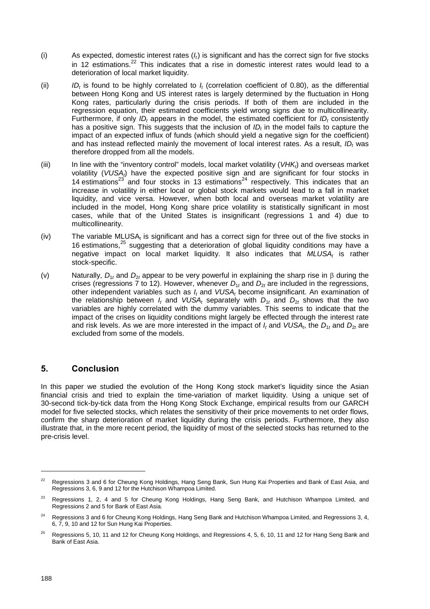- (i) As expected, domestic interest rates (*It*) is significant and has the correct sign for five stocks in 12 estimations. $^{22}$  This indicates that a rise in domestic interest rates would lead to a deterioration of local market liquidity.
- (ii) *IDt* is found to be highly correlated to *It* (correlation coefficient of 0.80), as the differential between Hong Kong and US interest rates is largely determined by the fluctuation in Hong Kong rates, particularly during the crisis periods. If both of them are included in the regression equation, their estimated coefficients yield wrong signs due to multicollinearity. Furthermore, if only *ID<sub>t</sub>* appears in the model, the estimated coefficient for *ID<sub>t</sub>* consistently has a positive sign. This suggests that the inclusion of  $ID<sub>t</sub>$  in the model fails to capture the impact of an expected influx of funds (which should yield a negative sign for the coefficient) and has instead reflected mainly the movement of local interest rates. As a result, *ID<sub>t</sub>* was therefore dropped from all the models.
- (iii) In line with the "inventory control" models, local market volatility (*VHKt*) and overseas market volatility (VUSA<sub>t</sub>) have the expected positive sign and are significant for four stocks in 14 estimations<sup>23</sup> and four stocks in 13 estimations<sup>24</sup> respectively. This indicates that an increase in volatility in either local or global stock markets would lead to a fall in market liquidity, and vice versa. However, when both local and overseas market volatility are included in the model, Hong Kong share price volatility is statistically significant in most cases, while that of the United States is insignificant (regressions 1 and 4) due to multicollinearity.
- $(iv)$  The variable MLUSA<sub>t</sub> is significant and has a correct sign for three out of the five stocks in 16 estimations.<sup>25</sup> suggesting that a deterioration of global liquidity conditions may have a negative impact on local market liquidity. It also indicates that *MLUSAt* is rather stock-specific.
- (v) Naturally,  $D_{1t}$  and  $D_{2t}$  appear to be very powerful in explaining the sharp rise in  $\beta$  during the crises (regressions 7 to 12). However, whenever  $D_{1t}$  and  $D_{2t}$  are included in the regressions, other independent variables such as *It* and *VUSAt* become insignificant. An examination of the relationship between *I<sub>t</sub>* and *VUSA<sub>t</sub>* separately with  $D_{1t}$  and  $D_{2t}$  shows that the two variables are highly correlated with the dummy variables. This seems to indicate that the impact of the crises on liquidity conditions might largely be effected through the interest rate and risk levels. As we are more interested in the impact of  $I_t$  and *VUSA<sub>t</sub>*, the  $D_{1t}$  and  $D_{2t}$  are excluded from some of the models.

## **5. Conclusion**

In this paper we studied the evolution of the Hong Kong stock market's liquidity since the Asian financial crisis and tried to explain the time-variation of market liquidity. Using a unique set of 30-second tick-by-tick data from the Hong Kong Stock Exchange, empirical results from our GARCH model for five selected stocks, which relates the sensitivity of their price movements to net order flows, confirm the sharp deterioration of market liquidity during the crisis periods. Furthermore, they also illustrate that, in the more recent period, the liquidity of most of the selected stocks has returned to the pre-crisis level.

<sup>&</sup>lt;sup>22</sup> Regressions 3 and 6 for Cheung Kong Holdings, Hang Seng Bank, Sun Hung Kai Properties and Bank of East Asia, and Regressions 3, 6, 9 and 12 for the Hutchison Whampoa Limited.

<sup>&</sup>lt;sup>23</sup> Regressions 1, 2, 4 and 5 for Cheung Kong Holdings, Hang Seng Bank, and Hutchison Whampoa Limited, and Regressions 2 and 5 for Bank of East Asia.

<sup>24</sup> Regressions 3 and 6 for Cheung Kong Holdings, Hang Seng Bank and Hutchison Whampoa Limited, and Regressions 3, 4, 6, 7, 9, 10 and 12 for Sun Hung Kai Properties.

<sup>&</sup>lt;sup>25</sup> Regressions 5, 10, 11 and 12 for Cheung Kong Holdings, and Regressions 4, 5, 6, 10, 11 and 12 for Hang Seng Bank and Bank of East Asia.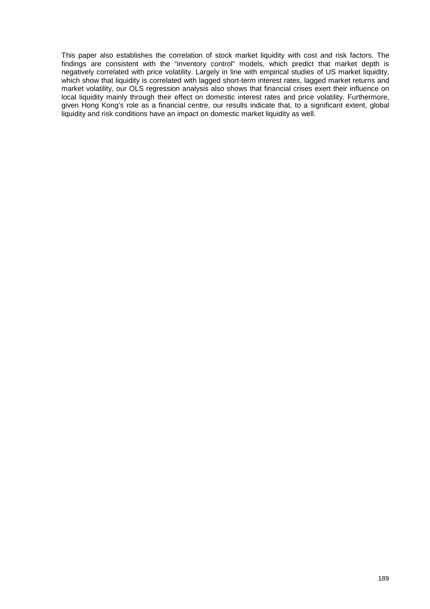This paper also establishes the correlation of stock market liquidity with cost and risk factors. The findings are consistent with the "inventory control" models, which predict that market depth is negatively correlated with price volatility. Largely in line with empirical studies of US market liquidity, which show that liquidity is correlated with lagged short-term interest rates, lagged market returns and market volatility, our OLS regression analysis also shows that financial crises exert their influence on local liquidity mainly through their effect on domestic interest rates and price volatility. Furthermore, given Hong Kong's role as a financial centre, our results indicate that, to a significant extent, global liquidity and risk conditions have an impact on domestic market liquidity as well.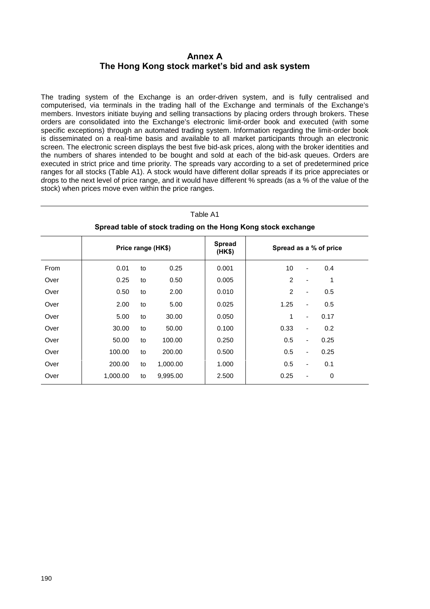## **Annex A**  The Hong Kong stock market's bid and ask system

The trading system of the Exchange is an order-driven system, and is fully centralised and computerised, via terminals in the trading hall of the Exchange and terminals of the Exchange's members. Investors initiate buying and selling transactions by placing orders through brokers. These orders are consolidated into the Exchange's electronic limit-order book and executed (with some specific exceptions) through an automated trading system. Information regarding the limit-order book is disseminated on a real-time basis and available to all market participants through an electronic screen. The electronic screen displays the best five bid-ask prices, along with the broker identities and the numbers of shares intended to be bought and sold at each of the bid-ask queues. Orders are executed in strict price and time priority. The spreads vary according to a set of predetermined price ranges for all stocks (Table A1). A stock would have different dollar spreads if its price appreciates or drops to the next level of price range, and it would have different % spreads (as a % of the value of the stock) when prices move even within the price ranges.

| Table A1<br>Spread table of stock trading on the Hong Kong stock exchange |                    |    |          |                         |      |                              |                        |  |  |  |  |  |  |
|---------------------------------------------------------------------------|--------------------|----|----------|-------------------------|------|------------------------------|------------------------|--|--|--|--|--|--|
|                                                                           | Price range (HK\$) |    |          | <b>Spread</b><br>(HK\$) |      |                              | Spread as a % of price |  |  |  |  |  |  |
| From                                                                      | 0.01               | to | 0.25     | 0.001                   | 10   |                              | 0.4                    |  |  |  |  |  |  |
| Over                                                                      | 0.25               | to | 0.50     | 0.005                   | 2    | ٠                            | 1                      |  |  |  |  |  |  |
| Over                                                                      | 0.50               | to | 2.00     | 0.010                   | 2    | $\qquad \qquad \blacksquare$ | 0.5                    |  |  |  |  |  |  |
| Over                                                                      | 2.00               | to | 5.00     | 0.025                   | 1.25 | ٠                            | 0.5                    |  |  |  |  |  |  |
| Over                                                                      | 5.00               | to | 30.00    | 0.050                   | 1    | $\overline{\phantom{a}}$     | 0.17                   |  |  |  |  |  |  |
| Over                                                                      | 30.00              | to | 50.00    | 0.100                   | 0.33 | $\qquad \qquad \blacksquare$ | 0.2                    |  |  |  |  |  |  |
| Over                                                                      | 50.00              | to | 100.00   | 0.250                   | 0.5  | $\overline{\phantom{a}}$     | 0.25                   |  |  |  |  |  |  |
| Over                                                                      | 100.00             | to | 200.00   | 0.500                   | 0.5  | $\overline{\phantom{a}}$     | 0.25                   |  |  |  |  |  |  |
| Over                                                                      | 200.00             | to | 1,000.00 | 1.000                   | 0.5  | $\overline{\phantom{a}}$     | 0.1                    |  |  |  |  |  |  |
| Over                                                                      | 1,000.00           | to | 9,995.00 | 2.500                   | 0.25 | ٠                            | 0                      |  |  |  |  |  |  |

190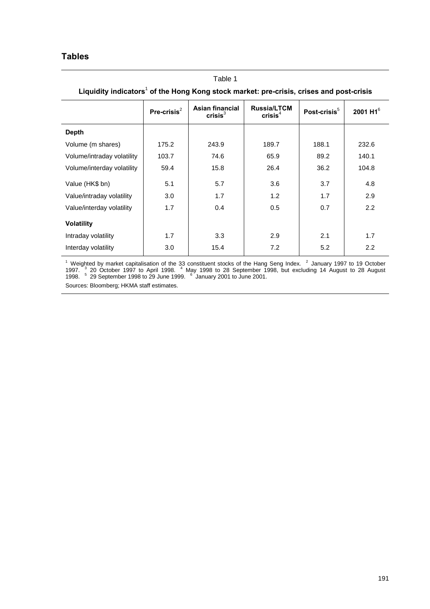## **Tables**

| Liquidity indicators <sup>1</sup> of the Hong Kong stock market: pre-crisis, crises and post-crisis |                |                                               |                                           |                          |                |  |  |  |  |  |  |
|-----------------------------------------------------------------------------------------------------|----------------|-----------------------------------------------|-------------------------------------------|--------------------------|----------------|--|--|--|--|--|--|
|                                                                                                     | Pre-crisis $2$ | <b>Asian financial</b><br>crisis <sup>3</sup> | <b>Russia/LTCM</b><br>crisis <sup>4</sup> | Post-crisis <sup>5</sup> | 2001 H1 $^{6}$ |  |  |  |  |  |  |
| <b>Depth</b>                                                                                        |                |                                               |                                           |                          |                |  |  |  |  |  |  |
| Volume (m shares)                                                                                   | 175.2          | 243.9                                         | 189.7                                     | 188.1                    | 232.6          |  |  |  |  |  |  |
| Volume/intraday volatility                                                                          | 103.7          | 74.6                                          | 65.9                                      | 89.2                     | 140.1          |  |  |  |  |  |  |
| Volume/interday volatility                                                                          | 59.4           | 15.8                                          | 26.4                                      | 36.2                     | 104.8          |  |  |  |  |  |  |
| Value (HK\$ bn)                                                                                     | 5.1            | 5.7                                           | 3.6                                       | 3.7                      | 4.8            |  |  |  |  |  |  |
| Value/intraday volatility                                                                           | 3.0            | 1.7                                           | 1.2                                       | 1.7                      | 2.9            |  |  |  |  |  |  |
| Value/interday volatility                                                                           | 1.7            | 0.4                                           | 0.5                                       | 0.7                      | 2.2            |  |  |  |  |  |  |
| <b>Volatility</b>                                                                                   |                |                                               |                                           |                          |                |  |  |  |  |  |  |
| Intraday volatility                                                                                 | 1.7            | 3.3                                           | 2.9                                       | 2.1                      | 1.7            |  |  |  |  |  |  |
| Interday volatility                                                                                 | 3.0            | 15.4                                          | 7.2                                       | 5.2                      | 2.2            |  |  |  |  |  |  |

Table 1

<sup>1</sup> Weighted by market capitalisation of the 33 constituent stocks of the Hang Seng Index. <sup>2</sup> January 1997 to 19 October<br>1997. <sup>3</sup> 20 October 1997 to April 1998. <sup>4</sup> May 1998 to 28 September 1998, but excluding 14 August

Sources: Bloomberg; HKMA staff estimates.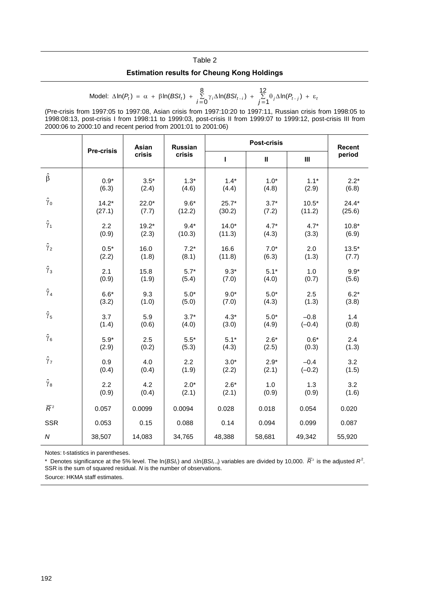# Table 2 **Estimation results for Cheung Kong Holdings**

Model: 
$$
\Delta \ln(P_t) = \alpha + \beta \ln(BSI_t) + \sum_{i=0}^{8} \gamma_i \Delta \ln(BSI_{t-i}) + \sum_{j=1}^{12} \theta_j \Delta \ln(P_{t-j}) + \varepsilon_t
$$

(Pre-crisis from 1997:05 to 1997:08, Asian crisis from 1997:10:20 to 1997:11, Russian crisis from 1998:05 to 1998:08:13, post-crisis I from 1998:11 to 1999:03, post-crisis II from 1999:07 to 1999:12, post-crisis III from 2000:06 to 2000:10 and recent period from 2001:01 to 2001:06)

|                  | Asian<br><b>Pre-crisis</b> |                                                              | <b>Russian</b> |         | <b>Recent</b> |                 |         |
|------------------|----------------------------|--------------------------------------------------------------|----------------|---------|---------------|-----------------|---------|
|                  |                            | crisis                                                       | crisis         | L       | Ш             | $\mathbf{III}$  | period  |
| $\hat{\beta}$    | $0.9*$                     | $3.5*$                                                       | $1.3*$         | $1.4*$  | $1.0*$        | $1.1*$          | $2.2*$  |
|                  | (6.3)                      | (2.4)                                                        | (4.6)          | (4.4)   | (4.8)         | (2.9)           | (6.8)   |
| $\hat{\gamma}_0$ | $14.2*$                    | $22.0*$                                                      | $9.6*$         | $25.7*$ | $3.7*$        | $10.5*$         | $24.4*$ |
|                  | (27.1)                     | (7.7)                                                        | (12.2)         | (30.2)  | (7.2)         | (11.2)          | (25.6)  |
| $\hat{\gamma}_1$ | 2.2                        | $19.2*$                                                      | $9.4*$         | $14.0*$ | $4.7*$        | $4.7*$          | $10.8*$ |
|                  | (0.9)                      | (2.3)                                                        | (10.3)         | (11.3)  | (4.3)         | (3.3)           | (6.9)   |
| $\hat{\gamma}_2$ | $0.5*$                     | 16.0                                                         | $7.2*$         | 16.6    | $7.0*$        | 2.0             | $13.5*$ |
|                  | (2.2)                      | (1.8)                                                        | (8.1)          | (11.8)  | (6.3)         | (1.3)           | (7.7)   |
| $\hat{\gamma}_3$ | 2.1<br>(0.9)               | 15.8<br>$9.3*$<br>$5.7*$<br>(1.9)<br>(7.0)<br>(4.0)<br>(5.4) |                | $5.1*$  | 1.0<br>(0.7)  | $9.9*$<br>(5.6) |         |
| $\hat{\gamma}_4$ | $6.6*$                     | 9.3                                                          | $5.0*$         | $9.0*$  | $5.0*$        | 2.5             | $6.2*$  |
|                  | (3.2)                      | (1.0)                                                        | (5.0)          | (7.0)   | (4.3)         | (1.3)           | (3.8)   |
| $\hat{\gamma}_5$ | 3.7                        | 5.9                                                          | $3.7*$         | $4.3*$  | $5.0*$        | $-0.8$          | 1.4     |
|                  | (1.4)                      | (0.6)                                                        | (4.0)          | (3.0)   | (4.9)         | $(-0.4)$        | (0.8)   |
| $\hat{\gamma}_6$ | $5.9*$                     | 2.5                                                          | $5.5*$         | $5.1*$  | $2.6*$        | $0.6*$          | 2.4     |
|                  | (2.9)                      | (0.2)                                                        | (5.3)          | (4.3)   | (2.5)         | (0.3)           | (1.3)   |
| $\hat{\gamma}_7$ | 0.9                        | 4.0                                                          | 2.2            | $3.0*$  | $2.9*$        | $-0.4$          | 3.2     |
|                  | (0.4)                      | (0.4)                                                        | (1.9)          | (2.2)   | (2.1)         | $(-0.2)$        | (1.5)   |
| $\hat{\gamma}_8$ | 2.2                        | 4.2                                                          | $2.0*$         | $2.6*$  | 1.0           | 1.3             | 3.2     |
|                  | (0.9)                      | (0.4)                                                        | (2.1)          | (2.1)   | (0.9)         | (0.9)           | (1.6)   |
| $\overline{R}^2$ | 0.057                      | 0.0099                                                       | 0.0094         | 0.028   | 0.018         | 0.054           | 0.020   |
| <b>SSR</b>       | 0.053                      | 0.15                                                         | 0.088          | 0.14    | 0.094         | 0.099           | 0.087   |
| ${\cal N}$       | 38,507                     | 14,083                                                       | 34,765         | 48,388  | 58,681        | 49,342          | 55,920  |

Notes: t-statistics in parentheses.

\* Denotes significance at the 5% level. The ln(*BSI<sub>t</sub>*) and  $\Delta$ In(*BSI<sub>t-i</sub>*) variables are divided by 10,000.  $\overline{R}^2$  is the adjusted  $R^2$ . SSR is the sum of squared residual. *N* is the number of observations.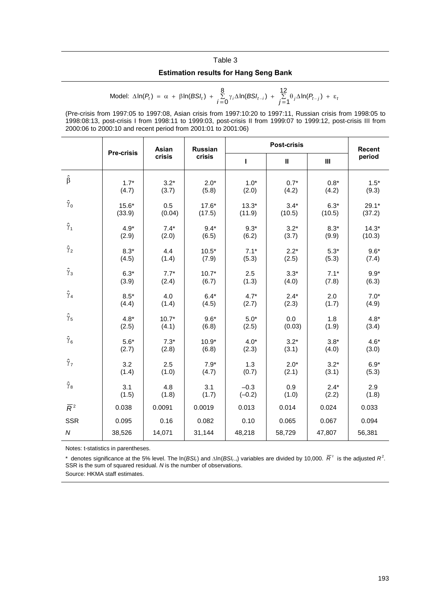# Table 3 **Estimation results for Hang Seng Bank**

Model: 
$$
\Delta \ln(P_t) = \alpha + \beta \ln(BSI_t) + \sum_{i=0}^{8} \gamma_i \Delta \ln(BSI_{t-i}) + \sum_{j=1}^{12} \theta_j \Delta \ln(P_{t-j}) + \varepsilon_t
$$

(Pre-crisis from 1997:05 to 1997:08, Asian crisis from 1997:10:20 to 1997:11, Russian crisis from 1998:05 to 1998:08:13, post-crisis I from 1998:11 to 1999:03, post-crisis II from 1999:07 to 1999:12, post-crisis III from 2000:06 to 2000:10 and recent period from 2001:01 to 2001:06)

|                  |         |         | Asian<br><b>Russian</b><br><b>Pre-crisis</b> |          |        | <b>Post-crisis</b> |         |  |  |
|------------------|---------|---------|----------------------------------------------|----------|--------|--------------------|---------|--|--|
|                  |         | crisis  | crisis                                       | т        | Ш      | Ш                  | period  |  |  |
| $\hat{\beta}$    | $1.7*$  | $3.2*$  | $2.0*$                                       | $1.0*$   | $0.7*$ | $0.8*$             | $1.5*$  |  |  |
|                  | (4.7)   | (3.7)   | (5.8)                                        | (2.0)    | (4.2)  | (4.2)              | (9.3)   |  |  |
| $\hat{\gamma}_0$ | $15.6*$ | 0.5     | $17.6*$                                      | $13.3*$  | $3.4*$ | $6.3*$             | $29.1*$ |  |  |
|                  | (33.9)  | (0.04)  | (17.5)                                       | (11.9)   | (10.5) | (10.5)             | (37.2)  |  |  |
| $\hat{\gamma}_1$ | $4.9*$  | $7.4*$  | $9.4*$                                       | $9.3*$   | $3.2*$ | $8.3*$             | $14.3*$ |  |  |
|                  | (2.9)   | (2.0)   | (6.5)                                        | (6.2)    | (3.7)  | (9.9)              | (10.3)  |  |  |
| $\hat{\gamma}_2$ | $8.3*$  | 4.4     | $10.5*$                                      | $7.1*$   | $2.2*$ | $5.3*$             | $9.6*$  |  |  |
|                  | (4.5)   | (1.4)   | (7.9)                                        | (5.3)    | (2.5)  | (5.3)              | (7.4)   |  |  |
| $\hat{\gamma}_3$ | $6.3*$  | $7.7*$  | $10.7*$                                      | 2.5      | $3.3*$ | $7.1*$             | $9.9*$  |  |  |
|                  | (3.9)   | (2.4)   | (6.7)                                        | (1.3)    | (4.0)  | (7.8)              | (6.3)   |  |  |
| $\hat{\gamma}_4$ | $8.5*$  | 4.0     | $6.4*$                                       | $4.7*$   | $2.4*$ | 2.0                | $7.0*$  |  |  |
|                  | (4.4)   | (1.4)   | (4.5)                                        | (2.7)    | (2.3)  | (1.7)              | (4.9)   |  |  |
| $\hat{\gamma}_5$ | $4.8*$  | $10.7*$ | $9.6*$                                       | $5.0*$   | 0.0    | 1.8                | $4.8*$  |  |  |
|                  | (2.5)   | (4.1)   | (6.8)                                        | (2.5)    | (0.03) | (1.9)              | (3.4)   |  |  |
| $\hat{\gamma}_6$ | $5.6*$  | $7.3*$  | $10.9*$                                      | $4.0*$   | $3.2*$ | $3.8*$             | $4.6*$  |  |  |
|                  | (2.7)   | (2.8)   | (6.8)                                        | (2.3)    | (3.1)  | (4.0)              | (3.0)   |  |  |
| $\hat{\gamma}_7$ | 3.2     | 2.5     | $7.9*$                                       | 1.3      | $2.0*$ | $3.2*$             | $6.9*$  |  |  |
|                  | (1.4)   | (1.0)   | (4.7)                                        | (0.7)    | (2.1)  | (3.1)              | (5.3)   |  |  |
| $\hat{\gamma}_8$ | 3.1     | 4.8     | 3.1                                          | $-0.3$   | 0.9    | $2.4*$             | 2.9     |  |  |
|                  | (1.5)   | (1.8)   | (1.7)                                        | $(-0.2)$ | (1.0)  | (2.2)              | (1.8)   |  |  |
| $\overline{R}^2$ | 0.038   | 0.0091  | 0.0019                                       | 0.013    | 0.014  | 0.024              | 0.033   |  |  |
| <b>SSR</b>       | 0.095   | 0.16    | 0.082                                        | 0.10     | 0.065  | 0.067              | 0.094   |  |  |
| ${\cal N}$       | 38,526  | 14,071  | 31,144                                       | 48,218   | 58,729 | 47,807             | 56,381  |  |  |

Notes: t-statistics in parentheses.

\* denotes significance at the 5% level. The ln(*BSI*<sub>t</sub>) and  $\Delta$ In(*BSI*<sub>t-i</sub>) variables are divided by 10,000.  $\overline{R}^2$  is the adjusted  $R^2$ . SSR is the sum of squared residual. *N* is the number of observations.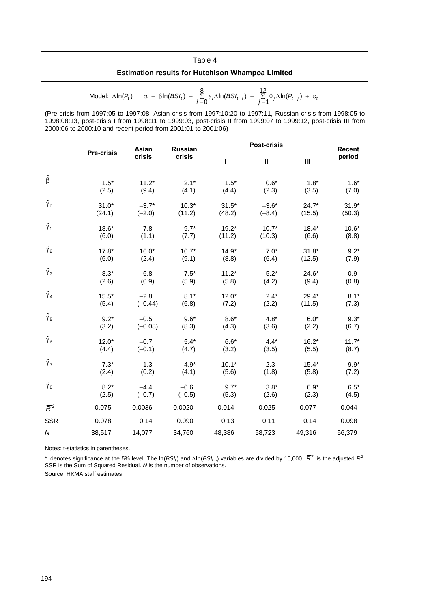# Table 4 **Estimation results for Hutchison Whampoa Limited**

Model: 
$$
\Delta \ln(P_t) = \alpha + \beta \ln(BSI_t) + \sum_{i=0}^{8} \gamma_i \Delta \ln(BSI_{t-i}) + \sum_{j=1}^{12} \theta_j \Delta \ln(P_{t-j}) + \epsilon_i
$$

(Pre-crisis from 1997:05 to 1997:08, Asian crisis from 1997:10:20 to 1997:11, Russian crisis from 1998:05 to 1998:08:13, post-crisis I from 1998:11 to 1999:03, post-crisis II from 1999:07 to 1999:12, post-crisis III from 2000:06 to 2000:10 and recent period from 2001:01 to 2001:06)

|                  |                   | Asian     | <b>Russian</b> |         | <b>Recent</b> |         |         |
|------------------|-------------------|-----------|----------------|---------|---------------|---------|---------|
|                  | <b>Pre-crisis</b> | crisis    | crisis         | T       | $\mathbf{II}$ | Ш       | period  |
| $\hat{\beta}$    | $1.5*$            | $11.2*$   | $2.1*$         | $1.5*$  | $0.6*$        | $1.8*$  | $1.6*$  |
|                  | (2.5)             | (9.4)     | (4.1)          | (4.4)   | (2.3)         | (3.5)   | (7.0)   |
| $\hat{\gamma}_0$ | $31.0*$           | $-3.7*$   | $10.3*$        | $31.5*$ | $-3.6*$       | $24.7*$ | $31.9*$ |
|                  | (24.1)            | $(-2.0)$  | (11.2)         | (48.2)  | $(-8.4)$      | (15.5)  | (50.3)  |
| $\hat{\gamma}_1$ | $18.6*$           | 7.8       | $9.7*$         | $19.2*$ | $10.7*$       | $18.4*$ | $10.6*$ |
|                  | (6.0)             | (1.1)     | (7.7)          | (11.2)  | (10.3)        | (6.6)   | (8.8)   |
| $\hat{\gamma}_2$ | $17.8*$           | $16.0*$   | $10.7*$        | $14.9*$ | $7.0*$        | $31.8*$ | $9.2*$  |
|                  | (6.0)             | (2.4)     | (9.1)          | (8.8)   | (6.4)         | (12.5)  | (7.9)   |
| $\hat{\gamma}_3$ | $8.3*$            | 6.8       | $7.5*$         | $11.2*$ | $5.2*$        | $24.6*$ | 0.9     |
|                  | (2.6)             | (0.9)     | (5.9)          | (5.8)   | (4.2)         | (9.4)   | (0.8)   |
| $\hat{\gamma}_4$ | $15.5*$           | $-2.8$    | $8.1*$         | $12.0*$ | $2.4*$        | $29.4*$ | $8.1*$  |
|                  | (5.4)             | $(-0.44)$ | (6.8)          | (7.2)   | (2.2)         | (11.5)  | (7.3)   |
| $\hat{\gamma}_5$ | $9.2*$            | $-0.5$    | $9.6*$         | $8.6*$  | $4.8*$        | $6.0*$  | $9.3*$  |
|                  | (3.2)             | $(-0.08)$ | (8.3)          | (4.3)   | (3.6)         | (2.2)   | (6.7)   |
| $\hat{\gamma}_6$ | $12.0*$           | $-0.7$    | $5.4*$         | $6.6*$  | $4.4*$        | $16.2*$ | $11.7*$ |
|                  | (4.4)             | $(-0.1)$  | (4.7)          | (3.2)   | (3.5)         | (5.5)   | (8.7)   |
| $\hat{\gamma}_7$ | $7.3*$            | 1.3       | $4.9*$         | $10.1*$ | 2.3           | $15.4*$ | $9.9*$  |
|                  | (2.4)             | (0.2)     | (4.1)          | (5.6)   | (1.8)         | (5.8)   | (7.2)   |
| $\hat{\gamma}_8$ | $8.2*$            | $-4.4$    | $-0.6$         | $9.7*$  | $3.8*$        | $6.9*$  | $6.5*$  |
|                  | (2.5)             | $(-0.7)$  | $(-0.5)$       | (5.3)   | (2.6)         | (2.3)   | (4.5)   |
| $\overline{R}^2$ | 0.075             | 0.0036    | 0.0020         | 0.014   | 0.025         | 0.077   | 0.044   |
| <b>SSR</b>       | 0.078             | 0.14      | 0.090          | 0.13    | 0.11          | 0.14    | 0.098   |
| ${\cal N}$       | 38,517            | 14,077    | 34,760         | 48,386  | 58,723        | 49,316  | 56,379  |

Notes: t-statistics in parentheses.

\* denotes significance at the 5% level. The ln(*BSI<sub>t</sub>*) and  $\Delta$ In(*BSI<sub>t-i)</sub>* variables are divided by 10,000.  $\overline{R}^2$  is the adjusted  $R^2$ . SSR is the Sum of Squared Residual. *N* is the number of observations.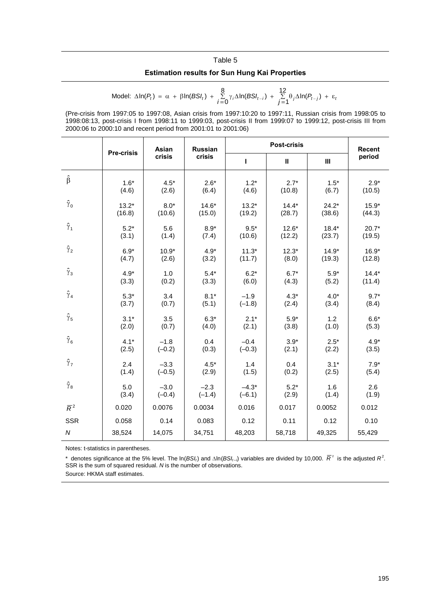#### Table 5

#### **Estimation results for Sun Hung Kai Properties**

Model: 
$$
\Delta \ln(P_t) = \alpha + \beta \ln(BSI_t) + \sum_{j=0}^{8} \gamma_j \Delta \ln(BSI_{t-j}) + \sum_{j=1}^{12} \theta_j \Delta \ln(P_{t-j}) + \varepsilon_i
$$

(Pre-crisis from 1997:05 to 1997:08, Asian crisis from 1997:10:20 to 1997:11, Russian crisis from 1998:05 to 1998:08:13, post-crisis I from 1998:11 to 1999:03, post-crisis II from 1999:07 to 1999:12, post-crisis III from 2000:06 to 2000:10 and recent period from 2001:01 to 2001:06)

|                  | Asian   |          | <b>Post-crisis</b><br><b>Russian</b><br><b>Pre-crisis</b> |          |              |                |         |  |
|------------------|---------|----------|-----------------------------------------------------------|----------|--------------|----------------|---------|--|
|                  |         | crisis   | crisis                                                    | т        | $\mathbf{u}$ | $\mathbf{III}$ | period  |  |
| $\hat{\beta}$    | $1.6*$  | $4.5*$   | $2.6*$                                                    | $1.2*$   | $2.7*$       | $1.5*$         | $2.9*$  |  |
|                  | (4.6)   | (2.6)    | (6.4)                                                     | (4.6)    | (10.8)       | (6.7)          | (10.5)  |  |
| $\hat{\gamma}_0$ | $13.2*$ | $8.0*$   | $14.6*$                                                   | $13.2*$  | $14.4*$      | $24.2*$        | $15.9*$ |  |
|                  | (16.8)  | (10.6)   | (15.0)                                                    | (19.2)   | (28.7)       | (38.6)         | (44.3)  |  |
| $\hat{\gamma}_1$ | $5.2*$  | 5.6      | $8.9*$                                                    | $9.5*$   | $12.6*$      | $18.4*$        | $20.7*$ |  |
|                  | (3.1)   | (1.4)    | (7.4)                                                     | (10.6)   | (12.2)       | (23.7)         | (19.5)  |  |
| $\hat{\gamma}_2$ | $6.9*$  | $10.9*$  | $4.9*$                                                    | $11.3*$  | $12.3*$      | $14.9*$        | $16.9*$ |  |
|                  | (4.7)   | (2.6)    | (3.2)                                                     | (11.7)   | (8.0)        | (19.3)         | (12.8)  |  |
| $\hat{\gamma}_3$ | $4.9*$  | 1.0      | $5.4*$                                                    | $6.2*$   | $6.7*$       | $5.9*$         | $14.4*$ |  |
|                  | (3.3)   | (0.2)    | (3.3)                                                     | (6.0)    | (4.3)        | (5.2)          | (11.4)  |  |
| $\hat{\gamma}_4$ | $5.3*$  | 3.4      | $8.1*$                                                    | $-1.9$   | $4.3*$       | $4.0*$         | $9.7*$  |  |
|                  | (3.7)   | (0.7)    | (5.1)                                                     | $(-1.8)$ | (2.4)        | (3.4)          | (8.4)   |  |
| $\hat{\gamma}_5$ | $3.1*$  | 3.5      | $6.3*$                                                    | $2.1*$   | $5.9*$       | 1.2            | $6.6*$  |  |
|                  | (2.0)   | (0.7)    | (4.0)                                                     | (2.1)    | (3.8)        | (1.0)          | (5.3)   |  |
| $\hat{\gamma}_6$ | $4.1*$  | $-1.8$   | 0.4                                                       | $-0.4$   | $3.9*$       | $2.5*$         | $4.9*$  |  |
|                  | (2.5)   | $(-0.2)$ | (0.3)                                                     | $(-0.3)$ | (2.1)        | (2.2)          | (3.5)   |  |
| $\hat{\gamma}_7$ | 2.4     | $-3.3$   | $4.5*$                                                    | 1.4      | 0.4          | $3.1*$         | $7.9*$  |  |
|                  | (1.4)   | $(-0.5)$ | (2.9)                                                     | (1.5)    | (0.2)        | (2.5)          | (5.4)   |  |
| $\hat{\gamma}_8$ | 5.0     | $-3.0$   | $-2.3$                                                    | $-4.3*$  | $5.2*$       | 1.6            | 2.6     |  |
|                  | (3.4)   | $(-0.4)$ | $(-1.4)$                                                  | $(-6.1)$ | (2.9)        | (1.4)          | (1.9)   |  |
| $\overline{R}^2$ | 0.020   | 0.0076   | 0.0034                                                    | 0.016    | 0.017        | 0.0052         | 0.012   |  |
| <b>SSR</b>       | 0.058   | 0.14     | 0.083                                                     | 0.12     | 0.11         | 0.12           | 0.10    |  |
| ${\cal N}$       | 38,524  | 14,075   | 34,751                                                    | 48,203   | 58,718       | 49,325         | 55,429  |  |

Notes: t-statistics in parentheses.

\* denotes significance at the 5% level. The ln(*BSI*<sub>t</sub>) and  $\Delta$ In(*BSI*<sub>t-i</sub>) variables are divided by 10,000.  $\overline{R}^2$  is the adjusted  $R^2$ . SSR is the sum of squared residual. *N* is the number of observations.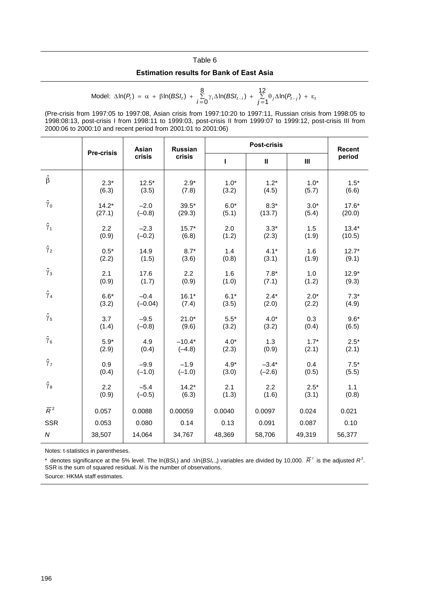# Table 6 **Estimation results for Bank of East Asia**

Model: 
$$
\Delta \ln(P_t) = \alpha + \beta \ln(BSI_t) + \sum_{i=0}^{8} \gamma_i \Delta \ln(BSI_{t-i}) + \sum_{j=1}^{12} \theta_j \Delta \ln(P_{t-j}) + \varepsilon_i
$$

(Pre-crisis from 1997:05 to 1997:08, Asian crisis from 1997:10:20 to 1997:11, Russian crisis from 1998:05 to 1998:08:13, post-crisis I from 1998:11 to 1999:03, post-crisis II from 1999:07 to 1999:12, post-crisis III from 2000:06 to 2000:10 and recent period from 2001:01 to 2001:06)

|                  | <b>Pre-crisis</b> |           | <b>Russian</b> |        | <b>Post-crisis</b> |        |         |  |  |
|------------------|-------------------|-----------|----------------|--------|--------------------|--------|---------|--|--|
|                  |                   | crisis    | crisis         | L      | $\mathbf{II}$      | Ш      | period  |  |  |
| $\hat{\beta}$    | $2.3*$            | $12.5*$   | $2.9*$         | $1.0*$ | $1.2*$             | $1.0*$ | $1.5*$  |  |  |
|                  | (6.3)             | (3.5)     | (7.8)          | (3.2)  | (4.5)              | (5.7)  | (6.6)   |  |  |
| $\hat{\gamma}_0$ | $14.2*$           | $-2.0$    | $39.5*$        | $6.0*$ | $8.3*$             | $3.0*$ | $17.6*$ |  |  |
|                  | (27.1)            | $(-0.8)$  | (29.3)         | (5.1)  | (13.7)             | (5.4)  | (20.0)  |  |  |
| $\hat{\gamma}_1$ | 2.2               | $-2.3$    | $15.7*$        | 2.0    | $3.3*$             | 1.5    | $13.4*$ |  |  |
|                  | (0.9)             | $(-0.2)$  | (6.8)          | (1.2)  | (2.3)              | (1.9)  | (10.5)  |  |  |
| $\hat{\gamma}_2$ | $0.5*$            | 14.9      | $8.7*$         | 1.4    | $4.1*$             | 1.6    | $12.7*$ |  |  |
|                  | (2.2)             | (1.5)     | (3.6)          | (0.8)  | (3.1)              | (1.9)  | (9.1)   |  |  |
| $\hat{\gamma}_3$ | 2.1               | 17.6      | 2.2            | 1.6    | $7.8*$             | 1.0    | $12.9*$ |  |  |
|                  | (0.9)             | (1.7)     | (0.9)          | (1.0)  | (7.1)              | (1.2)  | (9.3)   |  |  |
| $\hat{\gamma}_4$ | $6.6*$            | $-0.4$    | $16.1*$        | $6.1*$ | $2.4*$             | $2.0*$ | $7.3*$  |  |  |
|                  | (3.2)             | $(-0.04)$ | (7.4)          | (3.5)  | (2.0)              | (2.2)  | (4.9)   |  |  |
| $\hat{\gamma}_5$ | 3.7               | $-9.5$    | $21.0*$        | $5.5*$ | $4.0*$             | 0.3    | $9.6*$  |  |  |
|                  | (1.4)             | $(-0.8)$  | (9.6)          | (3.2)  | (3.2)              | (0.4)  | (6.5)   |  |  |
| $\hat{\gamma}_6$ | $5.9*$            | 4.9       | $-10.4*$       | $4.0*$ | 1.3                | $1.7*$ | $2.5*$  |  |  |
|                  | (2.9)             | (0.4)     | $(-4.8)$       | (2.3)  | (0.9)              | (2.1)  | (2.1)   |  |  |
| $\hat{\gamma}_7$ | 0.9               | $-9.9$    | $-1.9$         | $4.9*$ | $-3.4*$            | 0.4    | $7.5*$  |  |  |
|                  | (0.4)             | $(-1.0)$  | $(-1.0)$       | (3.0)  | $(-2.6)$           | (0.5)  | (5.5)   |  |  |
| $\hat{\gamma}_8$ | 2.2               | $-5.4$    | $14.2*$        | 2.1    | 2.2                | $2.5*$ | 1.1     |  |  |
|                  | (0.9)             | $(-0.5)$  | (6.3)          | (1.3)  | (1.6)              | (3.1)  | (0.8)   |  |  |
| $\overline{R}^2$ | 0.057             | 0.0088    | 0.00059        | 0.0040 | 0.0097             | 0.024  | 0.021   |  |  |
| <b>SSR</b>       | 0.053             | 0.080     | 0.14           | 0.13   | 0.091              | 0.087  | 0.10    |  |  |
| ${\cal N}$       | 38,507            | 14,064    | 34,767         | 48,369 | 58,706             | 49,319 | 56,377  |  |  |

Notes: t-statistics in parentheses.

\* denotes significance at the 5% level. The ln(*BSI<sub>t</sub>*) and  $\Delta$ ln(*BSI<sub>t–i)</sub>* variables are divided by 10,000.  $\overline{R}^2$  is the adjusted  $R^2$ . SSR is the sum of squared residual. *N* is the number of observations.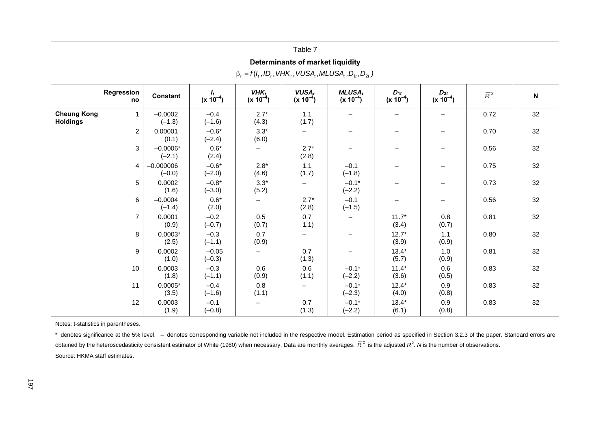| $\beta_t = f(l_t, ID_t, VHK_t, VUSA_t, MLUSA_t, D_{1t}, D_{2t})$ |                         |                        |                          |                                           |                            |                           |                           |                  |             |  |  |  |
|------------------------------------------------------------------|-------------------------|------------------------|--------------------------|-------------------------------------------|----------------------------|---------------------------|---------------------------|------------------|-------------|--|--|--|
| Regression<br>no                                                 | Constant                | $I_t$<br>$(x 10^{-4})$ | $VHK_t$<br>$(x 10^{-4})$ | <b>VUSA</b> <sub>t</sub><br>$(x 10^{-4})$ | $MLUSA_t$<br>$(x 10^{-4})$ | $D_{1t}$<br>$(x 10^{-4})$ | $D_{2t}$<br>$(x 10^{-4})$ | $\overline{R}^2$ | $\mathbf N$ |  |  |  |
| <b>Cheung Kong</b><br>$\mathbf{1}$<br><b>Holdings</b>            | $-0.0002$<br>$(-1.3)$   | $-0.4$<br>$(-1.6)$     | $2.7*$<br>(4.3)          | 1.1<br>(1.7)                              |                            |                           |                           | 0.72             | 32          |  |  |  |
| $\overline{c}$                                                   | 0.00001<br>(0.1)        | $-0.6*$<br>$(-2.4)$    | $3.3*$<br>(6.0)          |                                           |                            | -                         |                           | 0.70             | 32          |  |  |  |
| 3                                                                | $-0.0006*$<br>$(-2.1)$  | $0.6*$<br>(2.4)        | —                        | $2.7*$<br>(2.8)                           |                            |                           |                           | 0.56             | 32          |  |  |  |
| 4                                                                | $-0.000006$<br>$(-0.0)$ | $-0.6*$<br>$(-2.0)$    | $2.8*$<br>(4.6)          | 1.1<br>(1.7)                              | $-0.1$<br>$(-1.8)$         |                           |                           | 0.75             | 32          |  |  |  |
| 5                                                                | 0.0002<br>(1.6)         | $-0.8*$<br>$(-3.0)$    | $3.3*$<br>(5.2)          | $\overline{\phantom{0}}$                  | $-0.1*$<br>$(-2.2)$        |                           |                           | 0.73             | 32          |  |  |  |
| $\,6\,$                                                          | $-0.0004$<br>$(-1.4)$   | $0.6*$<br>(2.0)        |                          | $2.7*$<br>(2.8)                           | $-0.1$<br>$(-1.5)$         |                           |                           | 0.56             | 32          |  |  |  |
| $\overline{7}$                                                   | 0.0001<br>(0.9)         | $-0.2$<br>$(-0.7)$     | 0.5<br>(0.7)             | 0.7<br>1.1)                               | -                          | $11.7*$<br>(3.4)          | $0.8\,$<br>(0.7)          | 0.81             | 32          |  |  |  |
| 8                                                                | $0.0003*$<br>(2.5)      | $-0.3$<br>$(-1.1)$     | 0.7<br>(0.9)             |                                           |                            | $12.7*$<br>(3.9)          | 1.1<br>(0.9)              | 0.80             | 32          |  |  |  |
| 9                                                                | 0.0002<br>(1.0)         | $-0.05$<br>$(-0.3)$    | —                        | 0.7<br>(1.3)                              |                            | $13.4*$<br>(5.7)          | 1.0<br>(0.9)              | 0.81             | 32          |  |  |  |
| 10                                                               | 0.0003<br>(1.8)         | $-0.3$<br>$(-1.1)$     | 0.6<br>(0.9)             | 0.6<br>(1.1)                              | $-0.1*$<br>$(-2.2)$        | $11.4*$<br>(3.6)          | 0.6<br>(0.5)              | 0.83             | 32          |  |  |  |
| 11                                                               | $0.0005*$<br>(3.5)      | $-0.4$<br>$(-1.6)$     | $0.8\,$<br>(1.1)         |                                           | $-0.1*$<br>$(-2.3)$        | $12.4*$<br>(4.0)          | 0.9<br>(0.8)              | 0.83             | 32          |  |  |  |
| 12                                                               | 0.0003<br>(1.9)         | $-0.1$<br>$(-0.8)$     |                          | 0.7<br>(1.3)                              | $-0.1*$<br>$(-2.2)$        | $13.4*$<br>(6.1)          | 0.9<br>(0.8)              | 0.83             | 32          |  |  |  |

**Determinants of market liquidity** 

Table 7

Notes: t-statistics in parentheses.

\* denotes significance at the 5% level. – denotes corresponding variable not included in the respective model. Estimation period as specified in Section 3.2.3 of the paper. Standard errors are obtained by the heteroscedasticity consistent estimator of White (1980) when necessary. Data are monthly averages.  $\overline{R}^2$  is the adjusted  $R^2$ . *N* is the number of observations. Source: HKMA staff estimates.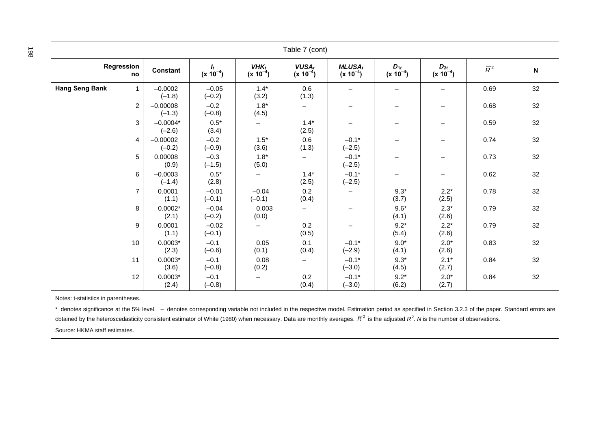| Table 7 (cont)                        |                        |                        |                          |                                |                            |                           |                           |                  |                           |
|---------------------------------------|------------------------|------------------------|--------------------------|--------------------------------|----------------------------|---------------------------|---------------------------|------------------|---------------------------|
| Regression<br>no                      | <b>Constant</b>        | $I_t$<br>$(x 10^{-4})$ | $VHK_t$<br>$(x 10^{-4})$ | <b>VUSA</b> t<br>$(x 10^{-4})$ | $MLUSA_t$<br>$(x 10^{-4})$ | $D_{1t}$<br>$(x 10^{-4})$ | $D_{2t}$<br>$(x 10^{-4})$ | $\overline{R}^2$ | $\boldsymbol{\mathsf{N}}$ |
| <b>Hang Seng Bank</b><br>$\mathbf{1}$ | $-0.0002$<br>$(-1.8)$  | $-0.05$<br>$(-0.2)$    | $1.4*$<br>(3.2)          | 0.6<br>(1.3)                   | $\overline{\phantom{0}}$   |                           | $\overline{\phantom{m}}$  | 0.69             | 32                        |
| $\overline{c}$                        | $-0.00008$<br>$(-1.3)$ | $-0.2$<br>$(-0.8)$     | $1.8*$<br>(4.5)          |                                | $\overline{\phantom{m}}$   | $\overline{\phantom{0}}$  | $\qquad \qquad -$         | 0.68             | 32                        |
| 3                                     | $-0.0004*$<br>$(-2.6)$ | $0.5^{\star}$<br>(3.4) | $\qquad \qquad -$        | $1.4*$<br>(2.5)                | $\qquad \qquad -$          | $\overline{\phantom{0}}$  | $\qquad \qquad -$         | 0.59             | 32                        |
| 4                                     | $-0.00002$<br>$(-0.2)$ | $-0.2$<br>$(-0.9)$     | $1.5*$<br>(3.6)          | 0.6<br>(1.3)                   | $-0.1*$<br>$(-2.5)$        | $\qquad \qquad$           | $\overline{\phantom{m}}$  | 0.74             | 32                        |
| 5                                     | 0.00008<br>(0.9)       | $-0.3$<br>$(-1.5)$     | $1.8*$<br>(5.0)          | $\overline{\phantom{0}}$       | $-0.1*$<br>$(-2.5)$        | $\qquad \qquad$           |                           | 0.73             | 32                        |
| 6                                     | $-0.0003$<br>$(-1.4)$  | $0.5*$<br>(2.8)        | $\qquad \qquad -$        | $1.4*$<br>(2.5)                | $-0.1*$<br>$(-2.5)$        | $\overline{\phantom{0}}$  | $\qquad \qquad -$         | 0.62             | 32                        |
| $\overline{7}$                        | 0.0001<br>(1.1)        | $-0.01$<br>$(-0.1)$    | $-0.04$<br>$(-0.1)$      | 0.2<br>(0.4)                   | $\qquad \qquad -$          | $9.3*$<br>(3.7)           | $2.2*$<br>(2.5)           | 0.78             | 32                        |
| 8                                     | $0.0002*$<br>(2.1)     | $-0.04$<br>$(-0.2)$    | 0.003<br>(0.0)           | —                              | -                          | $9.6*$<br>(4.1)           | $2.3*$<br>(2.6)           | 0.79             | 32                        |
| 9                                     | 0.0001<br>(1.1)        | $-0.02$<br>$(-0.1)$    |                          | 0.2<br>(0.5)                   |                            | $9.2*$<br>(5.4)           | $2.2*$<br>(2.6)           | 0.79             | 32                        |
| 10                                    | $0.0003*$<br>(2.3)     | $-0.1$<br>$(-0.6)$     | 0.05<br>(0.1)            | 0.1<br>(0.4)                   | $-0.1*$<br>$(-2.9)$        | $9.0^{\star}$<br>(4.1)    | $2.0*$<br>(2.6)           | 0.83             | 32                        |
| 11                                    | $0.0003*$<br>(3.6)     | $-0.1$<br>$(-0.8)$     | 0.08<br>(0.2)            | $\overline{\phantom{0}}$       | $-0.1*$<br>$(-3.0)$        | $9.3*$<br>(4.5)           | $2.1*$<br>(2.7)           | 0.84             | 32                        |
| 12                                    | $0.0003*$<br>(2.4)     | $-0.1$<br>$(-0.8)$     | $\qquad \qquad -$        | 0.2<br>(0.4)                   | $-0.1*$<br>$(-3.0)$        | $9.2*$<br>(6.2)           | $2.0*$<br>(2.7)           | 0.84             | 32                        |

\* denotes significance at the 5% level. - denotes corresponding variable not included in the respective model. Estimation period as specified in Section 3.2.3 of the paper. Standard errors are obtained by the heteroscedasticity consistent estimator of White (1980) when necessary. Data are monthly averages.  $\overline{R}^2$  is the adjusted  $R^2$ . N is the number of observations.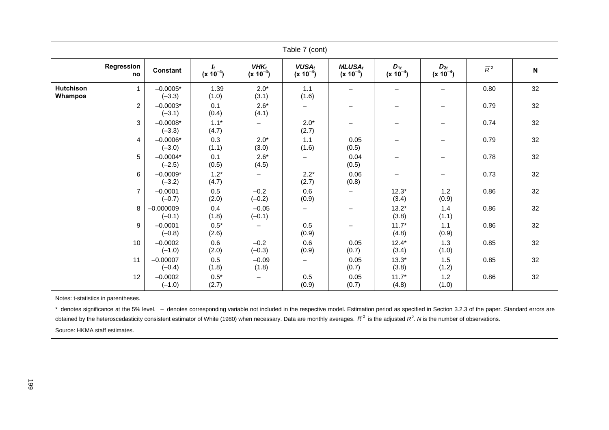| Table 7 (cont)              |                |                         |                        |                          |                               |                            |                           |                           |                  |                           |  |
|-----------------------------|----------------|-------------------------|------------------------|--------------------------|-------------------------------|----------------------------|---------------------------|---------------------------|------------------|---------------------------|--|
| Regression                  | no             | <b>Constant</b>         | $I_t$<br>$(x 10^{-4})$ | $VHK_t$<br>$(x 10^{-4})$ | <b>VUSAt</b><br>$(x 10^{-4})$ | $MLUSA_t$<br>$(x 10^{-4})$ | $D_{1t}$<br>$(x 10^{-4})$ | $D_{2t}$<br>$(x 10^{-4})$ | $\overline{R}^2$ | $\boldsymbol{\mathsf{N}}$ |  |
| <b>Hutchison</b><br>Whampoa | $\mathbf{1}$   | $-0.0005*$<br>$(-3.3)$  | 1.39<br>(1.0)          | $2.0*$<br>(3.1)          | 1.1<br>(1.6)                  | $\overline{\phantom{m}}$   |                           |                           | 0.80             | 32                        |  |
|                             | $\overline{c}$ | $-0.0003*$<br>$(-3.1)$  | 0.1<br>(0.4)           | $2.6*$<br>(4.1)          | $\overline{\phantom{0}}$      |                            | $\overline{\phantom{0}}$  | $\overline{\phantom{m}}$  | 0.79             | 32                        |  |
|                             | 3              | $-0.0008*$<br>$(-3.3)$  | $1.1*$<br>(4.7)        |                          | $2.0*$<br>(2.7)               | $\overline{\phantom{m}}$   | —                         | $\overline{\phantom{m}}$  | 0.74             | 32                        |  |
|                             | 4              | $-0.0006*$<br>$(-3.0)$  | 0.3<br>(1.1)           | $2.0*$<br>(3.0)          | 1.1<br>(1.6)                  | 0.05<br>(0.5)              | $\overline{\phantom{0}}$  | $\qquad \qquad -$         | 0.79             | 32                        |  |
|                             | 5              | $-0.0004*$<br>$(-2.5)$  | 0.1<br>(0.5)           | $2.6*$<br>(4.5)          | $\overline{\phantom{0}}$      | 0.04<br>(0.5)              |                           | $\overline{\phantom{m}}$  | 0.78             | 32                        |  |
|                             | 6              | $-0.0009*$<br>$(-3.2)$  | $1.2*$<br>(4.7)        | $\qquad \qquad -$        | $2.2*$<br>(2.7)               | 0.06<br>(0.8)              |                           | $\qquad \qquad -$         | 0.73             | 32                        |  |
|                             | $\overline{7}$ | $-0.0001$<br>$(-0.7)$   | $0.5\,$<br>(2.0)       | $-0.2$<br>$(-0.2)$       | 0.6<br>(0.9)                  | $\overline{\phantom{m}}$   | $12.3*$<br>(3.4)          | 1.2<br>(0.9)              | 0.86             | 32                        |  |
|                             | 8              | $-0.000009$<br>$(-0.1)$ | 0.4<br>(1.8)           | $-0.05$<br>$(-0.1)$      | $\overline{\phantom{0}}$      |                            | $13.2*$<br>(3.8)          | 1.4<br>(1.1)              | 0.86             | 32                        |  |
|                             | 9              | $-0.0001$<br>$(-0.8)$   | $0.5^{\star}$<br>(2.6) | $\overline{\phantom{m}}$ | 0.5<br>(0.9)                  | $\overline{\phantom{m}}$   | $11.7*$<br>(4.8)          | 1.1<br>(0.9)              | 0.86             | 32                        |  |
|                             | 10             | $-0.0002$<br>$(-1.0)$   | $0.6\,$<br>(2.0)       | $-0.2$<br>$(-0.3)$       | 0.6<br>(0.9)                  | 0.05<br>(0.7)              | $12.4*$<br>(3.4)          | 1.3<br>(1.0)              | 0.85             | 32                        |  |
|                             | 11             | $-0.00007$<br>$(-0.4)$  | 0.5<br>(1.8)           | $-0.09$<br>(1.8)         | -                             | 0.05<br>(0.7)              | $13.3*$<br>(3.8)          | 1.5<br>(1.2)              | 0.85             | 32                        |  |
|                             | 12             | $-0.0002$<br>$(-1.0)$   | $0.5^{\star}$<br>(2.7) | $\overline{\phantom{m}}$ | 0.5<br>(0.9)                  | 0.05<br>(0.7)              | $11.7*$<br>(4.8)          | 1.2<br>(1.0)              | 0.86             | 32                        |  |

\* denotes significance at the 5% level. - denotes corresponding variable not included in the respective model. Estimation period as specified in Section 3.2.3 of the paper. Standard errors are obtained by the heteroscedasticity consistent estimator of White (1980) when necessary. Data are monthly averages.  $\overline{R}^2$  is the adjusted  $R^2$ . *N* is the number of observations.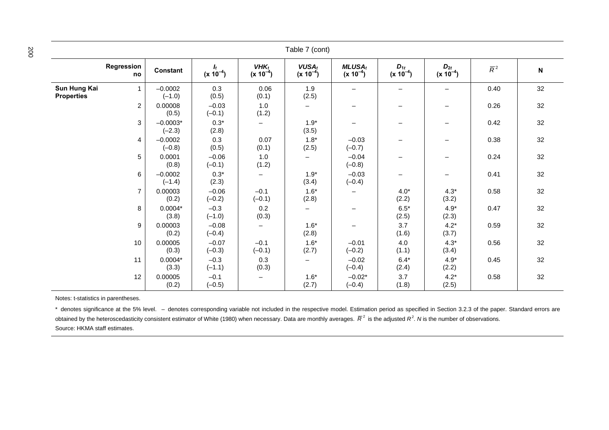| Table 7 (cont)                    |                  |                        |                                 |                          |                                |                            |                           |                           |                  |                           |
|-----------------------------------|------------------|------------------------|---------------------------------|--------------------------|--------------------------------|----------------------------|---------------------------|---------------------------|------------------|---------------------------|
|                                   | Regression<br>no | Constant               | $\mathbf{I}_t$<br>$(x 10^{-4})$ | $VHK_t$<br>$(x 10^{-4})$ | <b>VUSA</b> t<br>$(x 10^{-4})$ | $MLUSA_t$<br>$(x 10^{-4})$ | $D_{1t}$<br>$(x 10^{-4})$ | $D_{2t}$<br>$(x 10^{-4})$ | $\overline{R}^2$ | $\boldsymbol{\mathsf{N}}$ |
| Sun Hung Kai<br><b>Properties</b> | $\mathbf{1}$     | $-0.0002$<br>$(-1.0)$  | 0.3<br>(0.5)                    | 0.06<br>(0.1)            | 1.9<br>(2.5)                   | $\overline{\phantom{m}}$   | $\overline{\phantom{m}}$  | $\qquad \qquad -$         | 0.40             | 32                        |
|                                   | $\overline{2}$   | 0.00008<br>(0.5)       | $-0.03$<br>$(-0.1)$             | 1.0<br>(1.2)             | —                              | $\qquad \qquad -$          | $\overline{\phantom{0}}$  | $\qquad \qquad -$         | 0.26             | 32                        |
|                                   | 3                | $-0.0003*$<br>$(-2.3)$ | $0.3*$<br>(2.8)                 | $\overline{\phantom{m}}$ | $1.9*$<br>(3.5)                | $\overline{\phantom{m}}$   | $\qquad \qquad -$         | $\qquad \qquad -$         | 0.42             | 32                        |
|                                   | $\overline{4}$   | $-0.0002$<br>$(-0.8)$  | 0.3<br>(0.5)                    | 0.07<br>(0.1)            | $1.8*$<br>(2.5)                | $-0.03$<br>$(-0.7)$        | $\overline{\phantom{0}}$  | $\qquad \qquad =$         | 0.38             | 32                        |
|                                   | 5                | 0.0001<br>(0.8)        | $-0.06$<br>$(-0.1)$             | 1.0<br>(1.2)             |                                | $-0.04$<br>$(-0.8)$        | $\qquad \qquad -$         | $\qquad \qquad -$         | 0.24             | 32                        |
|                                   | 6                | $-0.0002$<br>$(-1.4)$  | $0.3*$<br>(2.3)                 | $\overline{\phantom{m}}$ | $1.9*$<br>(3.4)                | $-0.03$<br>$(-0.4)$        | $\qquad \qquad -$         | $\qquad \qquad -$         | 0.41             | 32                        |
|                                   | $\overline{7}$   | 0.00003<br>(0.2)       | $-0.06$<br>$(-0.2)$             | $-0.1$<br>$(-0.1)$       | $1.6*$<br>(2.8)                | $\overline{\phantom{0}}$   | $4.0*$<br>(2.2)           | $4.3*$<br>(3.2)           | 0.58             | 32                        |
|                                   | 8                | $0.0004*$<br>(3.8)     | $-0.3$<br>$(-1.0)$              | 0.2<br>(0.3)             | $\overline{\phantom{0}}$       |                            | $6.5*$<br>(2.5)           | $4.9*$<br>(2.3)           | 0.47             | 32                        |
|                                   | 9                | 0.00003<br>(0.2)       | $-0.08$<br>$(-0.4)$             | $\qquad \qquad -$        | $1.6*$<br>(2.8)                |                            | 3.7<br>(1.6)              | $4.2*$<br>(3.7)           | 0.59             | 32                        |
|                                   | 10               | 0.00005<br>(0.3)       | $-0.07$<br>$(-0.3)$             | $-0.1$<br>$(-0.1)$       | $1.6*$<br>(2.7)                | $-0.01$<br>$(-0.2)$        | 4.0<br>(1.1)              | $4.3*$<br>(3.4)           | 0.56             | 32                        |
|                                   | 11               | $0.0004*$<br>(3.3)     | $-0.3$<br>$(-1.1)$              | 0.3<br>(0.3)             |                                | $-0.02$<br>$(-0.4)$        | $6.4*$<br>(2.4)           | $4.9*$<br>(2.2)           | 0.45             | 32                        |
|                                   | 12               | 0.00005<br>(0.2)       | $-0.1$<br>$(-0.5)$              | $\overline{\phantom{m}}$ | $1.6*$<br>(2.7)                | $-0.02*$<br>$(-0.4)$       | 3.7<br>(1.8)              | $4.2*$<br>(2.5)           | 0.58             | 32                        |

\* denotes significance at the 5% level. - denotes corresponding variable not included in the respective model. Estimation period as specified in Section 3.2.3 of the paper. Standard errors are obtained by the heteroscedasticity consistent estimator of White (1980) when necessary. Data are monthly averages.  $\overline{R}^2$  is the adjusted  $R^2$ . *N* is the number of observations. Source: HKMA staff estimates.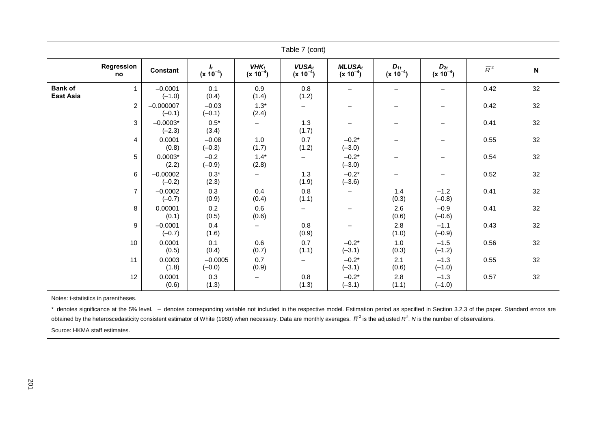| Table 7 (cont)                     |                  |                         |                                 |                          |                                |                            |                           |                           |                  |                           |  |
|------------------------------------|------------------|-------------------------|---------------------------------|--------------------------|--------------------------------|----------------------------|---------------------------|---------------------------|------------------|---------------------------|--|
|                                    | Regression<br>no | Constant                | $\mathbf{I}_t$<br>$(x 10^{-4})$ | $VHK_t$<br>$(x 10^{-4})$ | <b>VUSA</b> t<br>$(x 10^{-4})$ | $MLUSA_t$<br>$(x 10^{-4})$ | $D_{1t}$<br>$(x 10^{-4})$ | $D_{2t}$<br>$(x 10^{-4})$ | $\overline{R}^2$ | $\boldsymbol{\mathsf{N}}$ |  |
| <b>Bank of</b><br><b>East Asia</b> | $\mathbf{1}$     | $-0.0001$<br>$(-1.0)$   | 0.1<br>(0.4)                    | 0.9<br>(1.4)             | 0.8<br>(1.2)                   | -                          | $\qquad \qquad -$         |                           | 0.42             | 32                        |  |
|                                    | $\overline{2}$   | $-0.000007$<br>$(-0.1)$ | $-0.03$<br>$(-0.1)$             | $1.3*$<br>(2.4)          | $\qquad \qquad -$              | -                          | -                         | —                         | 0.42             | 32                        |  |
|                                    | 3                | $-0.0003*$<br>$(-2.3)$  | $0.5^{\star}$<br>(3.4)          | $\overline{\phantom{0}}$ | 1.3<br>(1.7)                   | $\overline{\phantom{0}}$   | $\overline{\phantom{0}}$  | —                         | 0.41             | 32                        |  |
|                                    | 4                | 0.0001<br>(0.8)         | $-0.08$<br>$(-0.3)$             | 1.0<br>(1.7)             | 0.7<br>(1.2)                   | $-0.2*$<br>$(-3.0)$        | L,                        |                           | 0.55             | 32                        |  |
|                                    | 5                | $0.0003*$<br>(2.2)      | $-0.2$<br>$(-0.9)$              | $1.4*$<br>(2.8)          | $\qquad \qquad -$              | $-0.2*$<br>$(-3.0)$        | $\overline{\phantom{0}}$  | —                         | 0.54             | 32                        |  |
|                                    | 6                | $-0.00002$<br>$(-0.2)$  | $0.3*$<br>(2.3)                 | $\overline{\phantom{0}}$ | 1.3<br>(1.9)                   | $-0.2*$<br>$(-3.6)$        | -                         | —                         | 0.52             | 32                        |  |
|                                    | $\overline{7}$   | $-0.0002$<br>$(-0.7)$   | 0.3<br>(0.9)                    | 0.4<br>(0.4)             | 0.8<br>(1.1)                   | -                          | 1.4<br>(0.3)              | $-1.2$<br>$(-0.8)$        | 0.41             | 32                        |  |
|                                    | 8                | 0.00001<br>(0.1)        | 0.2<br>(0.5)                    | 0.6<br>(0.6)             | $\overline{\phantom{m}}$       |                            | 2.6<br>(0.6)              | $-0.9$<br>$(-0.6)$        | 0.41             | 32                        |  |
|                                    | 9                | $-0.0001$<br>$(-0.7)$   | 0.4<br>(1.6)                    | $\overline{\phantom{0}}$ | 0.8<br>(0.9)                   | $\qquad \qquad -$          | 2.8<br>(1.0)              | $-1.1$<br>$(-0.9)$        | 0.43             | 32                        |  |
|                                    | 10               | 0.0001<br>(0.5)         | 0.1<br>(0.4)                    | 0.6<br>(0.7)             | 0.7<br>(1.1)                   | $-0.2*$<br>$(-3.1)$        | 1.0<br>(0.3)              | $-1.5$<br>$(-1.2)$        | 0.56             | 32                        |  |
|                                    | 11               | 0.0003<br>(1.8)         | $-0.0005$<br>$(-0.0)$           | 0.7<br>(0.9)             | $\overline{\phantom{m}}$       | $-0.2*$<br>$(-3.1)$        | 2.1<br>(0.6)              | $-1.3$<br>$(-1.0)$        | 0.55             | 32                        |  |
|                                    | 12               | 0.0001<br>(0.6)         | 0.3<br>(1.3)                    |                          | 0.8<br>(1.3)                   | $-0.2*$<br>$(-3.1)$        | 2.8<br>(1.1)              | $-1.3$<br>$(-1.0)$        | 0.57             | 32                        |  |

\* denotes significance at the 5% level. - denotes corresponding variable not included in the respective model. Estimation period as specified in Section 3.2.3 of the paper. Standard errors are obtained by the heteroscedasticity consistent estimator of White (1980) when necessary. Data are monthly averages.  $\overline{R}^2$  is the adjusted  $R^2$ . N is the number of observations.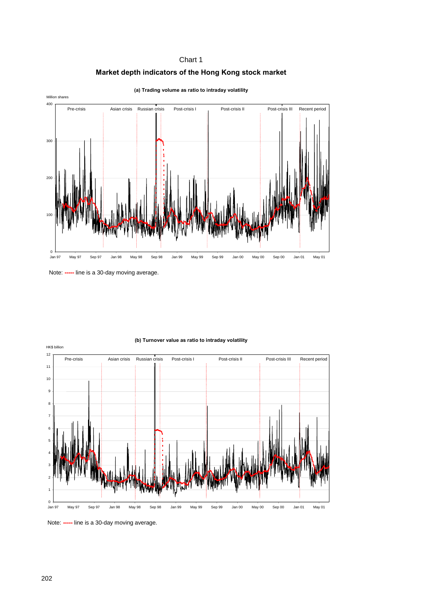



**(a) Trading volume as ratio to intraday volatility**



**(b) Turnover value as ratio to intraday volatility**

Note: **-----** line is a 30-day moving average.

Note: **-----** line is a 30-day moving average.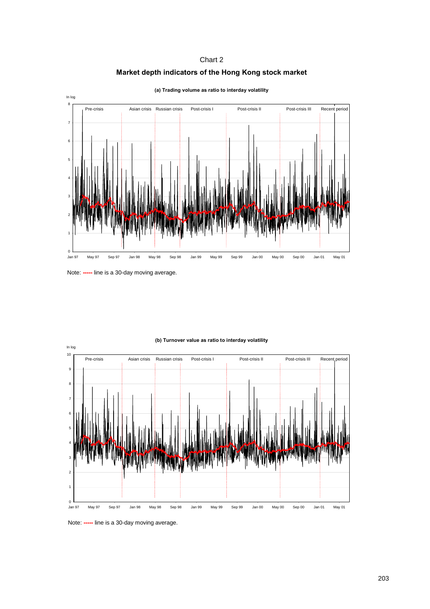#### **Market depth indicators of the Hong Kong stock market**



**(a) Trading volume as ratio to interday volatility**



#### **(b) Turnover value as ratio to interday volatility**

Note: **-----** line is a 30-day moving average.

Note: **-----** line is a 30-day moving average.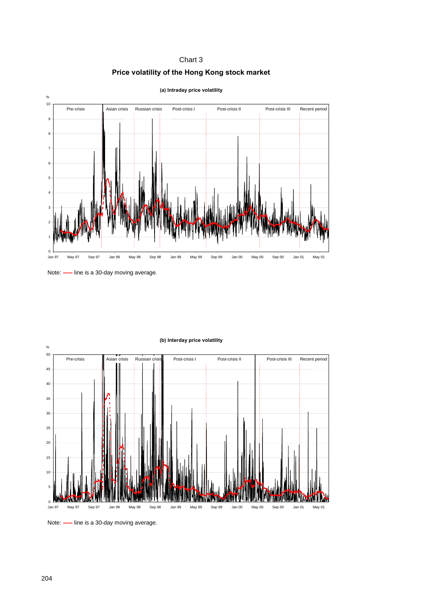

**Price volatility of the Hong Kong stock market** 



#### **(b) Interday price volatility**

Note: **-----** line is a 30-day moving average.

Note: **-----** line is a 30-day moving average.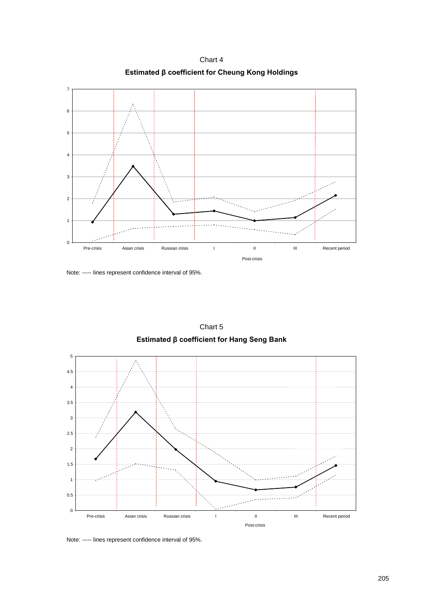**Estimated β coefficient for Cheung Kong Holdings** 



0

1

2

3

4

5

6

7



Chart 5 **Estimated β coefficient for Hang Seng Bank** 

Pre-crisis Asian crisis Russian crisis I II II III Recent period

Post-crisis

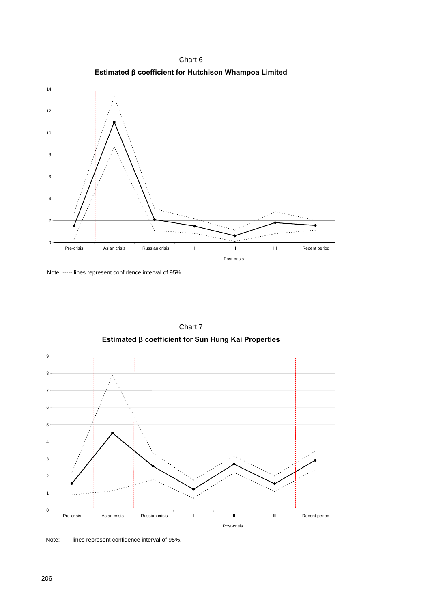Chart 6 **Estimated β coefficient for Hutchison Whampoa Limited** 



Note: ----- lines represent confidence interval of 95%.



Chart 7 **Estimated β coefficient for Sun Hung Kai Properties** 

Note: ----- lines represent confidence interval of 95%.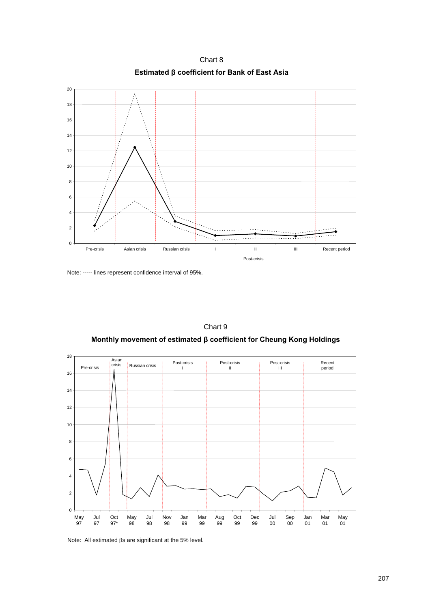Chart 8 **Estimated β coefficient for Bank of East Asia** 



Note: ----- lines represent confidence interval of 95%.



Chart 9

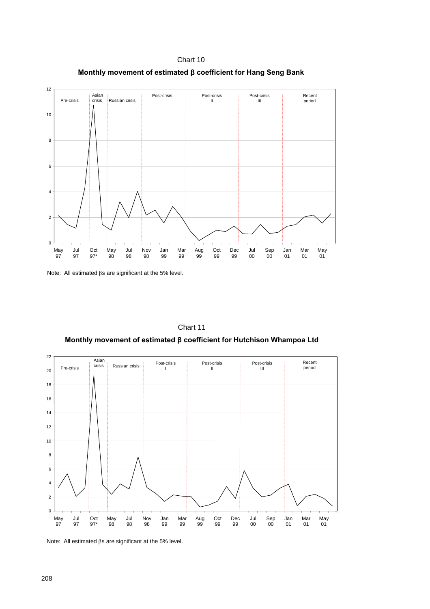



Note: All estimated  $\beta s$  are significant at the 5% level.



Chart 11 **Monthly movement of estimated β coefficient for Hutchison Whampoa Ltd** 

Note: All estimated  $\beta s$  are significant at the 5% level.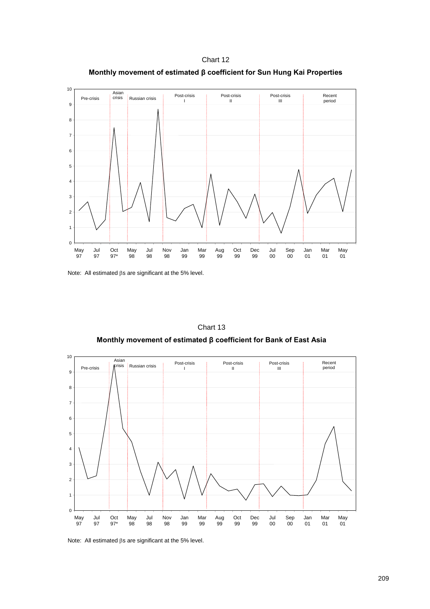Chart 12 **Monthly movement of estimated β coefficient for Sun Hung Kai Properties** 



Note: All estimated  $\beta s$  are significant at the 5% level.





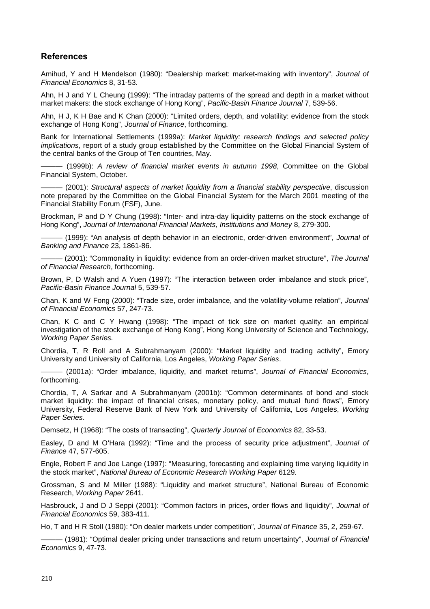## **References**

Amihud, Y and H Mendelson (1980): "Dealership market: market-making with inventory", *Journal of Financial Economics* 8, 31-53.

Ahn, H J and Y L Cheung (1999): "The intraday patterns of the spread and depth in a market without market makers: the stock exchange of Hong Kong", *Pacific-Basin Finance Journal* 7, 539-56.

Ahn, H J, K H Bae and K Chan (2000): "Limited orders, depth, and volatility: evidence from the stock exchange of Hong Kong", *Journal of Finance*, forthcoming.

Bank for International Settlements (1999a): *Market liquidity: research findings and selected policy implications*, report of a study group established by the Committee on the Global Financial System of the central banks of the Group of Ten countries, May.

——— (1999b): *A review of financial market events in autumn 1998*, Committee on the Global Financial System, October.

——— (2001): *Structural aspects of market liquidity from a financial stability perspective*, discussion note prepared by the Committee on the Global Financial System for the March 2001 meeting of the Financial Stability Forum (FSF), June.

Brockman, P and D Y Chung (1998): "Inter- and intra-day liquidity patterns on the stock exchange of Hong Kong", *Journal of International Financial Markets, Institutions and Money* 8, 279-300.

——— (1999): "An analysis of depth behavior in an electronic, order-driven environment", *Journal of Banking and Finance* 23, 1861-86.

——— (2001): "Commonality in liquidity: evidence from an order-driven market structure", *The Journal of Financial Research*, forthcoming.

Brown, P, D Walsh and A Yuen (1997): "The interaction between order imbalance and stock price", *Pacific-Basin Finance Journal* 5, 539-57.

Chan, K and W Fong (2000): "Trade size, order imbalance, and the volatility-volume relation", *Journal of Financial Economics* 57, 247-73.

Chan, K C and C Y Hwang (1998): "The impact of tick size on market quality: an empirical investigation of the stock exchange of Hong Kong", Hong Kong University of Science and Technology, *Working Paper Series.*

Chordia, T, R Roll and A Subrahmanyam (2000): "Market liquidity and trading activity", Emory University and University of California, Los Angeles, *Working Paper Series*.

——— (2001a): "Order imbalance, liquidity, and market returns", *Journal of Financial Economics*, forthcoming.

Chordia, T, A Sarkar and A Subrahmanyam (2001b): "Common determinants of bond and stock market liquidity: the impact of financial crises, monetary policy, and mutual fund flows", Emory University, Federal Reserve Bank of New York and University of California, Los Angeles, *Working Paper Series*.

Demsetz, H (1968): "The costs of transacting", *Quarterly Journal of Economics* 82, 33-53.

Easley, D and M O'Hara (1992): "Time and the process of security price adjustment", *Journal of Finance* 47, 577-605.

Engle, Robert F and Joe Lange (1997): "Measuring, forecasting and explaining time varying liquidity in the stock market", *National Bureau of Economic Research Working Paper* 6129*.*

Grossman, S and M Miller (1988): "Liquidity and market structure", National Bureau of Economic Research, *Working Paper* 2641.

Hasbrouck, J and D J Seppi (2001): "Common factors in prices, order flows and liquidity", *Journal of Financial Economics* 59, 383-411.

Ho, T and H R Stoll (1980): "On dealer markets under competition", *Journal of Finance* 35, 2, 259-67.

——— (1981): "Optimal dealer pricing under transactions and return uncertainty", *Journal of Financial Economics* 9, 47-73.